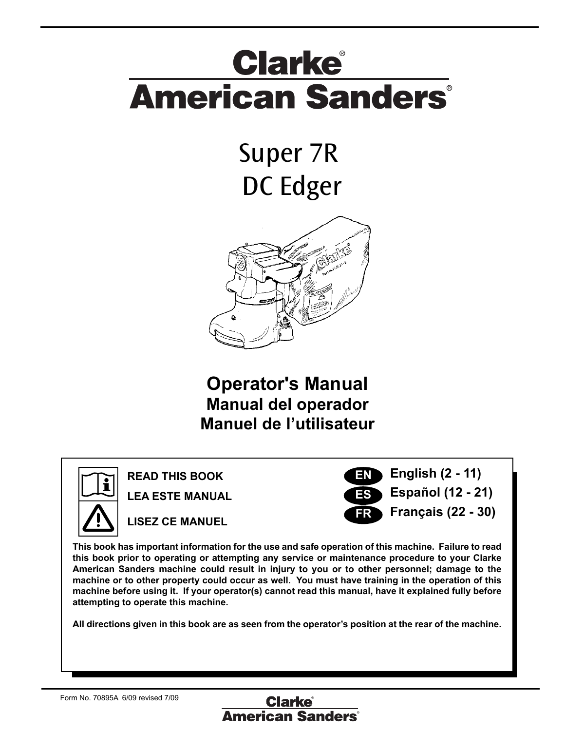# **Clarke American Sanders**

Super 7R DC Edger



**Operator's Manual Manual del operador Manuel de l'utilisateur**



**READ THIS BOOK LEA ESTE MANUAL**

**LISEZ CE MANUEL**



**This book has important information for the use and safe operation of this machine. Failure to read this book prior to operating or attempting any service or maintenance procedure to your Clarke American Sanders machine could result in injury to you or to other personnel; damage to the machine or to other property could occur as well. You must have training in the operation of this machine before using it. If your operator(s) cannot read this manual, have it explained fully before attempting to operate this machine.**

**All directions given in this book are as seen from the operator's position at the rear of the machine.**

Form No. 70895A 6/09 revised 7/09

## **Clarke**® **American Sanders**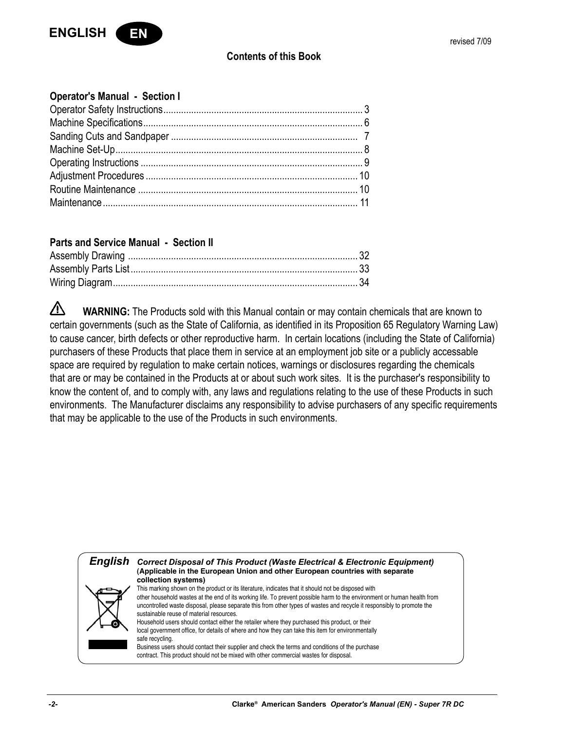

## **Contents of this Book**

#### **Operator's Manual - Section I**

#### **Parts and Service Manual - Section II**

ΛN  **WARNING:** The Products sold with this Manual contain or may contain chemicals that are known to certain governments (such as the State of California, as identified in its Proposition 65 Regulatory Warning Law) to cause cancer, birth defects or other reproductive harm. In certain locations (including the State of California) purchasers of these Products that place them in service at an employment job site or a publicly accessable space are required by regulation to make certain notices, warnings or disclosures regarding the chemicals that are or may be contained in the Products at or about such work sites. It is the purchaser's responsibility to know the content of, and to comply with, any laws and regulations relating to the use of these Products in such environments. The Manufacturer disclaims any responsibility to advise purchasers of any specific requirements that may be applicable to the use of the Products in such environments.

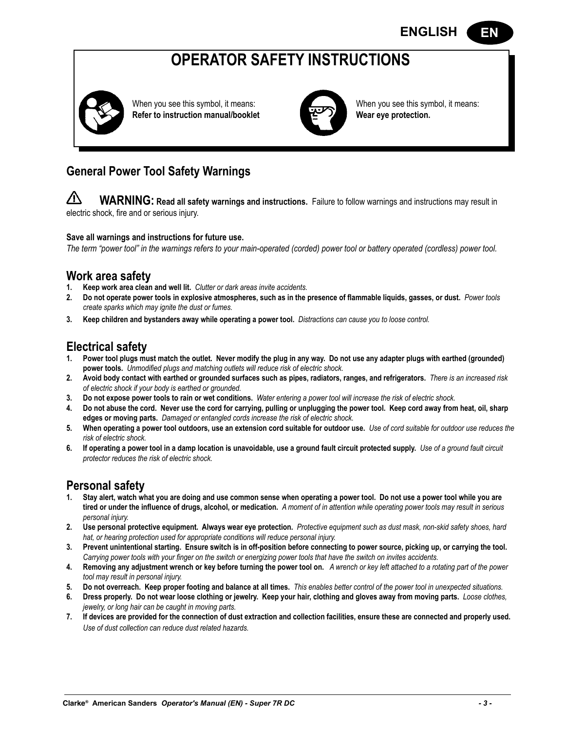**ENGLISH EN**

# **OPERATOR SAFETY INSTRUCTIONS**



When you see this symbol, it means: **Refer to instruction manual/booklet**



When you see this symbol, it means: **Wear eye protection.**

# **General Power Tool Safety Warnings**

八 **WARNING: Read all safety warnings and instructions.** Failure to follow warnings and instructions may result in electric shock, fire and or serious injury.

#### **Save all warnings and instructions for future use.**

*The term "power tool" in the warnings refers to your main-operated (corded) power tool or battery operated (cordless) power tool.*

## **Work area safety**

- **1. Keep work area clean and well lit.** *Clutter or dark areas invite accidents.*
- 2. Do not operate power tools in explosive atmospheres, such as in the presence of flammable liquids, gasses, or dust. *Power tools create sparks which may ignite the dust or fumes.*
- **3. Keep children and bystanders away while operating a power tool.** *Distractions can cause you to loose control.*

## **Electrical safety**

- **1. Power tool plugs must match the outlet. Never modify the plug in any way. Do not use any adapter plugs with earthed (grounded) power tools.** Unmodified plugs and matching outlets will reduce risk of electric shock.
- **2. Avoid body contact with earthed or grounded surfaces such as pipes, radiators, ranges, and refrigerators.** *There is an increased risk of electric shock if your body is earthed or grounded.*
- **3. Do not expose power tools to rain or wet conditions.** *Water entering a power tool will increase the risk of electric shock.*
- **4. Do not abuse the cord. Never use the cord for carrying, pulling or unplugging the power tool. Keep cord away from heat, oil, sharp edges or moving parts.** *Damaged or entangled cords increase the risk of electric shock.*
- **5. When operating a power tool outdoors, use an extension cord suitable for outdoor use.** *Use of cord suitable for outdoor use reduces the risk of electric shock.*
- **6. If operating a power tool in a damp location is unavoidable, use a ground fault circuit protected supply.** *Use of a ground fault circuit protector reduces the risk of electric shock.*

## **Personal safety**

- **1. Stay alert, watch what you are doing and use common sense when operating a power tool. Do not use a power tool while you are**  tired or under the influence of drugs, alcohol, or medication. A moment of in attention while operating power tools may result in serious *personal injury.*
- **2. Use personal protective equipment. Always wear eye protection.** *Protective equipment such as dust mask, non-skid safety shoes, hard hat, or hearing protection used for appropriate conditions will reduce personal injury.*
- **3. Prevent unintentional starting. Ensure switch is in off-position before connecting to power source, picking up, or carrying the tool.**  Carrying power tools with your finger on the switch or energizing power tools that have the switch on invites accidents.
- **4. Removing any adjustment wrench or key before turning the power tool on.** *A wrench or key left attached to a rotating part of the power tool may result in personal injury.*
- **5. Do not overreach. Keep proper footing and balance at all times.** *This enables better control of the power tool in unexpected situations.*
- **6. Dress properly. Do not wear loose clothing or jewelry. Keep your hair, clothing and gloves away from moving parts.** *Loose clothes, jewelry, or long hair can be caught in moving parts.*
- **7. If devices are provided for the connection of dust extraction and collection facilities, ensure these are connected and properly used.** *Use of dust collection can reduce dust related hazards.*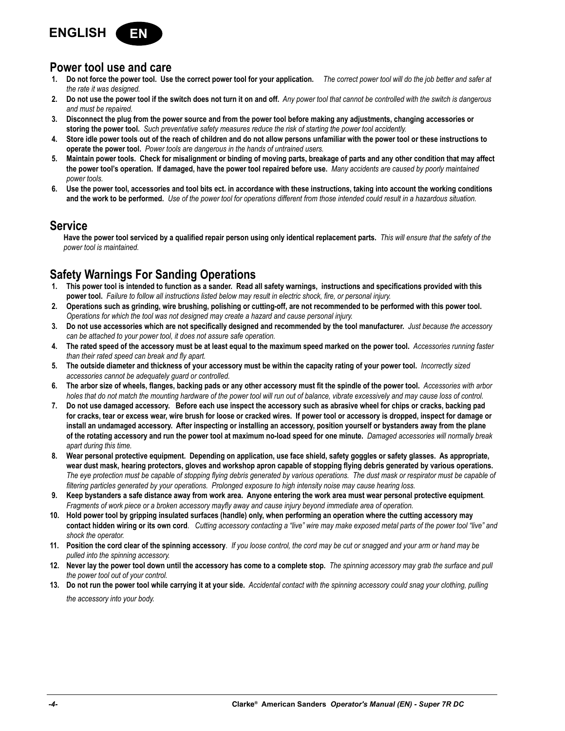

## **Power tool use and care**

- **1. Do not force the power tool. Use the correct power tool for your application.** *The correct power tool will do the job better and safer at the rate it was designed.*
- **2. Do not use the power tool if the switch does not turn it on and off.** *Any power tool that cannot be controlled with the switch is dangerous and must be repaired.*
- **3. Disconnect the plug from the power source and from the power tool before making any adjustments, changing accessories or storing the power tool.** *Such preventative safety measures reduce the risk of starting the power tool accidently.*
- **4. Store idle power tools out of the reach of children and do not allow persons unfamiliar with the power tool or these instructions to operate the power tool.** *Power tools are dangerous in the hands of untrained users.*
- **5. Maintain power tools. Check for misalignment or binding of moving parts, breakage of parts and any other condition that may affect the power tool's operation. If damaged, have the power tool repaired before use.** *Many accidents are caused by poorly maintained power tools.*
- **6. Use the power tool, accessories and tool bits ect. in accordance with these instructions, taking into account the working conditions and the work to be performed.** *Use of the power tool for operations different from those intended could result in a hazardous situation.*

## **Service**

Have the power tool serviced by a qualified repair person using only identical replacement parts. This will ensure that the safety of the *power tool is maintained.* 

## **Safety Warnings For Sanding Operations**

- 1. This power tool is intended to function as a sander. Read all safety warnings, instructions and specifications provided with this **power tool.** Failure to follow all instructions listed below may result in electric shock, fire, or personal injury.
- **2. Operations such as grinding, wire brushing, polishing or cutting-off, are not recommended to be performed with this power tool.** *Operations for which the tool was not designed may create a hazard and cause personal injury.*
- **3. Do not use accessories which are not specifi cally designed and recommended by the tool manufacturer.** *Just because the accessory can be attached to your power tool, it does not assure safe operation.*
- **4. The rated speed of the accessory must be at least equal to the maximum speed marked on the power tool.** *Accessories running faster*  than their rated speed can break and fly apart.
- **5. The outside diameter and thickness of your accessory must be within the capacity rating of your power tool.** *Incorrectly sized accessories cannot be adequately guard or controlled.*
- 6. The arbor size of wheels, flanges, backing pads or any other accessory must fit the spindle of the power tool. *Accessories with arbor holes that do not match the mounting hardware of the power tool will run out of balance, vibrate excessively and may cause loss of control.*
- **7. Do not use damaged accessory. Before each use inspect the accessory such as abrasive wheel for chips or cracks, backing pad for cracks, tear or excess wear, wire brush for loose or cracked wires. If power tool or accessory is dropped, inspect for damage or install an undamaged accessory. After inspecting or installing an accessory, position yourself or bystanders away from the plane of the rotating accessory and run the power tool at maximum no-load speed for one minute.** *Damaged accessories will normally break apart during this time.*
- **8. Wear personal protective equipment. Depending on application, use face shield, safety goggles or safety glasses. As appropriate,**  wear dust mask, hearing protectors, gloves and workshop apron capable of stopping flying debris generated by various operations. The eye protection must be capable of stopping flying debris generated by various operations. The dust mask or respirator must be capable of filtering particles generated by your operations. Prolonged exposure to high intensity noise may cause hearing loss.
- **9. Keep bystanders a safe distance away from work area. Anyone entering the work area must wear personal protective equipment**. *Fragments of work piece or a broken accessory mayfly away and cause injury beyond immediate area of operation.*
- **10. Hold power tool by gripping insulated surfaces (handle) only, when performing an operation where the cutting accessory may contact hidden wiring or its own cord**. *Cutting accessory contacting a "live" wire may make exposed metal parts of the power tool "live" and shock the operator.*
- **11. Position the cord clear of the spinning accessory**. *If you loose control, the cord may be cut or snagged and your arm or hand may be pulled into the spinning accessory.*
- **12. Never lay the power tool down until the accessory has come to a complete stop.** *The spinning accessory may grab the surface and pull the power tool out of your control.*
- **13. Do not run the power tool while carrying it at your side.** *Accidental contact with the spinning accessory could snag your clothing, pulling the accessory into your body.*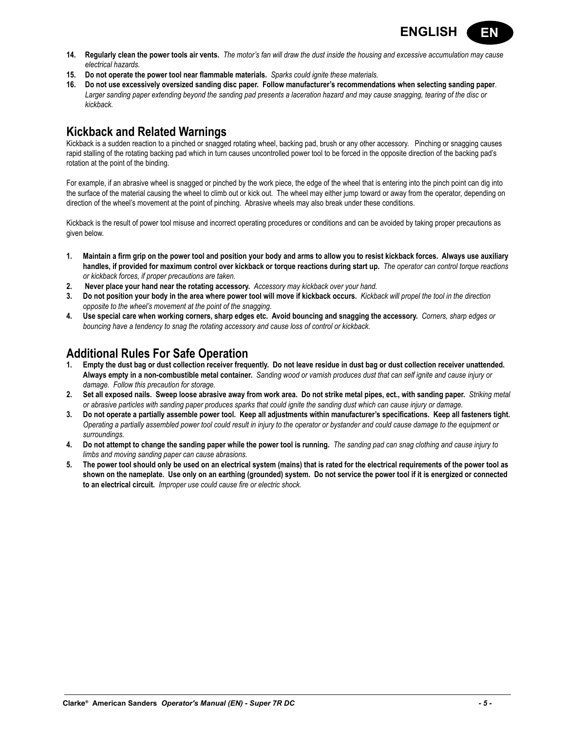

- **14. Regularly clean the power tools air vents.** *The motor's fan will draw the dust inside the housing and excessive accumulation may cause electrical hazards.*
- **15.** Do not operate the power tool near flammable materials. *Sparks could ignite these materials.*
- **16. Do not use excessively oversized sanding disc paper. Follow manufacturer's recommendations when selecting sanding paper**. *Larger sanding paper extending beyond the sanding pad presents a laceration hazard and may cause snagging, tearing of the disc or kickback.*

## **Kickback and Related Warnings**

Kickback is a sudden reaction to a pinched or snagged rotating wheel, backing pad, brush or any other accessory. Pinching or snagging causes rapid stalling of the rotating backing pad which in turn causes uncontrolled power tool to be forced in the opposite direction of the backing pad's rotation at the point of the binding.

For example, if an abrasive wheel is snagged or pinched by the work piece, the edge of the wheel that is entering into the pinch point can dig into the surface of the material causing the wheel to climb out or kick out. The wheel may either jump toward or away from the operator, depending on direction of the wheel's movement at the point of pinching. Abrasive wheels may also break under these conditions.

Kickback is the result of power tool misuse and incorrect operating procedures or conditions and can be avoided by taking proper precautions as given below.

- 1. Maintain a firm grip on the power tool and position your body and arms to allow you to resist kickback forces. Always use auxiliary **handles, if provided for maximum control over kickback or torque reactions during start up.** *The operator can control torque reactions or kickback forces, if proper precautions are taken.*
- **2. Never place your hand near the rotating accessory.** *Accessory may kickback over your hand.*
- **3. Do not position your body in the area where power tool will move if kickback occurs.** *Kickback will propel the tool in the direction opposite to the wheel's movement at the point of the snagging.*
- **4. Use special care when working corners, sharp edges etc. Avoid bouncing and snagging the accessory.** *Corners, sharp edges or bouncing have a tendency to snag the rotating accessory and cause loss of control or kickback.*

## **Additional Rules For Safe Operation**

- **1. Empty the dust bag or dust collection receiver frequently. Do not leave residue in dust bag or dust collection receiver unattended. Always empty in a non-combustible metal container.** *Sanding wood or varnish produces dust that can self ignite and cause injury or damage. Follow this precaution for storage.*
- **2. Set all exposed nails. Sweep loose abrasive away from work area. Do not strike metal pipes, ect., with sanding paper.** *Striking metal or abrasive particles with sanding paper produces sparks that could ignite the sanding dust which can cause injury or damage.*
- 3. Do not operate a partially assemble power tool. Keep all adjustments within manufacturer's specifications. Keep all fasteners tight. *Operating a partially assembled power tool could result in injury to the operator or bystander and could cause damage to the equipment or surroundings.*
- **4. Do not attempt to change the sanding paper while the power tool is running.** *The sanding pad can snag clothing and cause injury to limbs and moving sanding paper can cause abrasions.*
- **5. The power tool should only be used on an electrical system (mains) that is rated for the electrical requirements of the power tool as shown on the nameplate. Use only on an earthing (grounded) system. Do not service the power tool if it is energized or connected to an electrical circuit.** *Improper use could cause fire or electric shock.*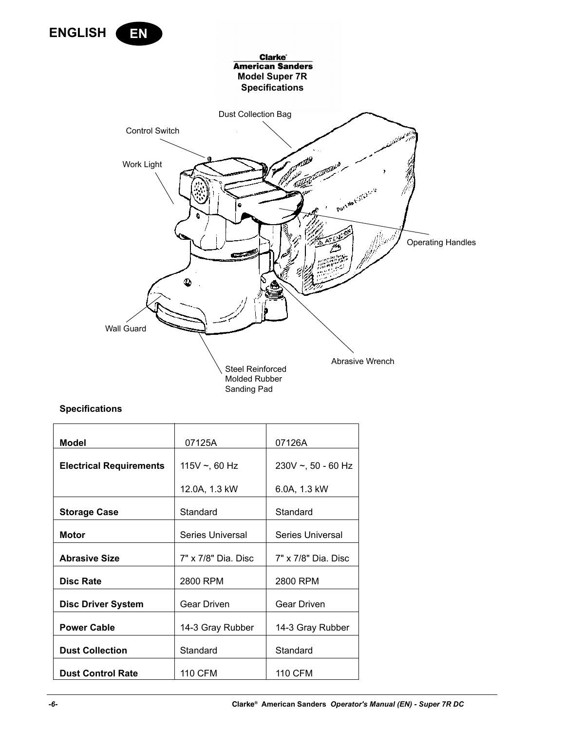

## **Specifications**

| Model                          | 07125A              | 07126A                 |
|--------------------------------|---------------------|------------------------|
|                                |                     |                        |
| <b>Electrical Requirements</b> | 115V $\sim$ , 60 Hz | $230V \sim 50 - 60$ Hz |
|                                | 12.0A, 1.3 kW       | 6.0A, 1.3 kW           |
| <b>Storage Case</b>            | Standard            | Standard               |
| Motor                          | Series Universal    | Series Universal       |
| <b>Abrasive Size</b>           | 7" x 7/8" Dia. Disc | 7" x 7/8" Dia. Disc    |
| <b>Disc Rate</b>               | 2800 RPM            | 2800 RPM               |
| <b>Disc Driver System</b>      | Gear Driven         | <b>Gear Driven</b>     |
| <b>Power Cable</b>             | 14-3 Gray Rubber    | 14-3 Gray Rubber       |
| <b>Dust Collection</b>         | Standard            | Standard               |
| <b>Dust Control Rate</b>       | <b>110 CFM</b>      | <b>110 CFM</b>         |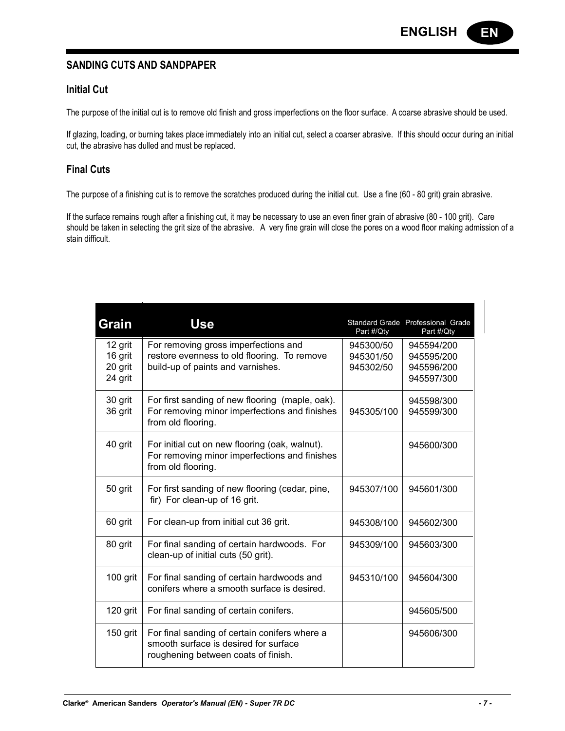## **SANDING CUTS AND SANDPAPER**

#### **Initial Cut**

The purpose of the initial cut is to remove old finish and gross imperfections on the floor surface. A coarse abrasive should be used.

If glazing, loading, or burning takes place immediately into an initial cut, select a coarser abrasive. If this should occur during an initial cut, the abrasive has dulled and must be replaced.

#### **Final Cuts**

The purpose of a finishing cut is to remove the scratches produced during the initial cut. Use a fine (60 - 80 grit) grain abrasive.

If the surface remains rough after a finishing cut, it may be necessary to use an even finer grain of abrasive (80 - 100 grit). Care should be taken in selecting the grit size of the abrasive. A very fine grain will close the pores on a wood floor making admission of a stain difficult.

| Grain                                    | <b>Use</b>                                                                                                                    | Part #/Qty                          | Standard Grade Professional Grade<br>Part #/Qty      |
|------------------------------------------|-------------------------------------------------------------------------------------------------------------------------------|-------------------------------------|------------------------------------------------------|
| 12 grit<br>16 grit<br>20 grit<br>24 grit | For removing gross imperfections and<br>restore evenness to old flooring. To remove<br>build-up of paints and varnishes.      | 945300/50<br>945301/50<br>945302/50 | 945594/200<br>945595/200<br>945596/200<br>945597/300 |
| 30 grit<br>36 grit                       | For first sanding of new flooring (maple, oak).<br>For removing minor imperfections and finishes<br>from old flooring.        | 945305/100                          | 945598/300<br>945599/300                             |
| 40 grit                                  | For initial cut on new flooring (oak, walnut).<br>For removing minor imperfections and finishes<br>from old flooring.         |                                     | 945600/300                                           |
| 50 grit                                  | For first sanding of new flooring (cedar, pine,<br>fir) For clean-up of 16 grit.                                              | 945307/100                          | 945601/300                                           |
| 60 grit                                  | For clean-up from initial cut 36 grit.                                                                                        | 945308/100                          | 945602/300                                           |
| 80 grit                                  | For final sanding of certain hardwoods. For<br>clean-up of initial cuts (50 grit).                                            | 945309/100                          | 945603/300                                           |
| 100 grit                                 | For final sanding of certain hardwoods and<br>conifers where a smooth surface is desired.                                     | 945310/100                          | 945604/300                                           |
| 120 grit                                 | For final sanding of certain conifers.                                                                                        |                                     | 945605/500                                           |
| 150 grit                                 | For final sanding of certain conifers where a<br>smooth surface is desired for surface<br>roughening between coats of finish. |                                     | 945606/300                                           |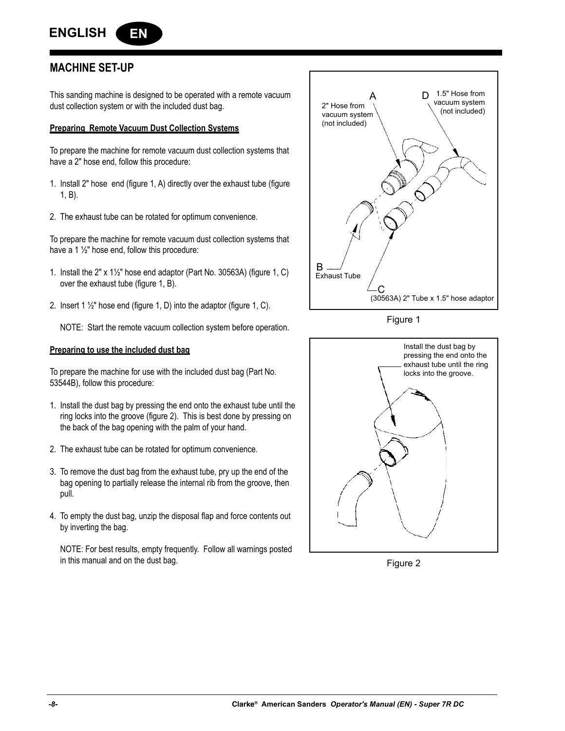## **MACHINE SET-UP**

This sanding machine is designed to be operated with a remote vacuum dust collection system or with the included dust bag.

#### **Preparing Remote Vacuum Dust Collection Systems**

To prepare the machine for remote vacuum dust collection systems that have a 2" hose end, follow this procedure:

- 1. Install 2" hose end (figure 1, A) directly over the exhaust tube (figure 1, B).
- 2. The exhaust tube can be rotated for optimum convenience.

To prepare the machine for remote vacuum dust collection systems that have a 1 ½" hose end, follow this procedure:

- 1. Install the  $2" \times 1\frac{1}{2"}$  hose end adaptor (Part No. 30563A) (figure 1, C) over the exhaust tube (figure 1, B).
- 2. Insert 1  $\frac{1}{2}$ " hose end (figure 1, D) into the adaptor (figure 1, C).

NOTE: Start the remote vacuum collection system before operation.

#### **Preparing to use the included dust bag**

To prepare the machine for use with the included dust bag (Part No. 53544B), follow this procedure:

- 1. Install the dust bag by pressing the end onto the exhaust tube until the ring locks into the groove (figure 2). This is best done by pressing on the back of the bag opening with the palm of your hand.
- 2. The exhaust tube can be rotated for optimum convenience.
- 3. To remove the dust bag from the exhaust tube, pry up the end of the bag opening to partially release the internal rib from the groove, then pull.
- 4. To empty the dust bag, unzip the disposal flap and force contents out by inverting the bag.

 NOTE: For best results, empty frequently. Follow all warnings posted in this manual and on the dust bag.



Figure 1



Figure 2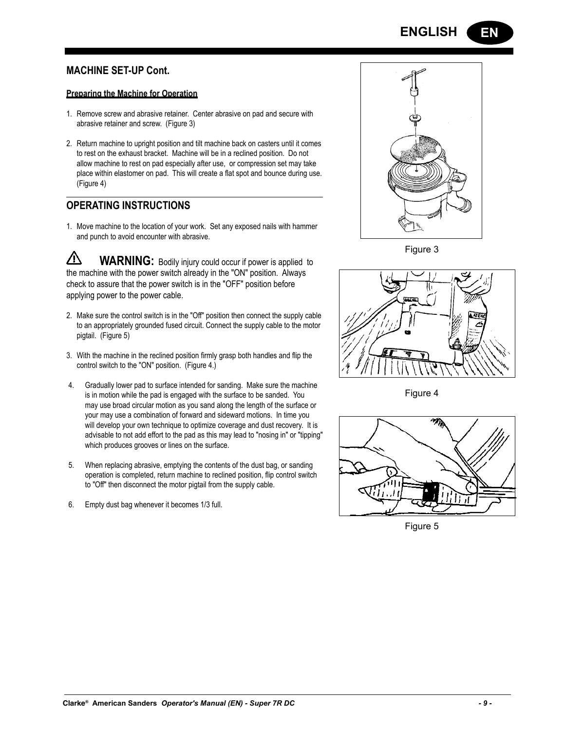#### **MACHINE SET-UP Cont.**

#### **Preparing the Machine for Operation**

- 1. Remove screw and abrasive retainer. Center abrasive on pad and secure with abrasive retainer and screw. (Figure 3)
- 2. Return machine to upright position and tilt machine back on casters until it comes to rest on the exhaust bracket. Machine will be in a reclined position. Do not allow machine to rest on pad especially after use, or compression set may take place within elastomer on pad. This will create a flat spot and bounce during use. (Figure 4)

#### **OPERATING INSTRUCTIONS**

1. Move machine to the location of your work. Set any exposed nails with hammer and punch to avoid encounter with abrasive.

 $\bigwedge$ **WARNING:** Bodily injury could occur if power is applied to the machine with the power switch already in the "ON" position. Always check to assure that the power switch is in the "OFF" position before applying power to the power cable.

- 2. Make sure the control switch is in the "Off" position then connect the supply cable to an appropriately grounded fused circuit. Connect the supply cable to the motor pigtail. (Figure 5)
- 3. With the machine in the reclined position firmly grasp both handles and flip the control switch to the "ON" position. (Figure 4.)
- 4. Gradually lower pad to surface intended for sanding. Make sure the machine is in motion while the pad is engaged with the surface to be sanded. You may use broad circular motion as you sand along the length of the surface or your may use a combination of forward and sideward motions. In time you will develop your own technique to optimize coverage and dust recovery. It is advisable to not add effort to the pad as this may lead to "nosing in" or "tipping" which produces grooves or lines on the surface.
- 5. When replacing abrasive, emptying the contents of the dust bag, or sanding operation is completed, return machine to reclined position, flip control switch to "Off" then disconnect the motor pigtail from the supply cable.
- 6. Empty dust bag whenever it becomes 1/3 full.



Figure 3



Figure 4



Figure 5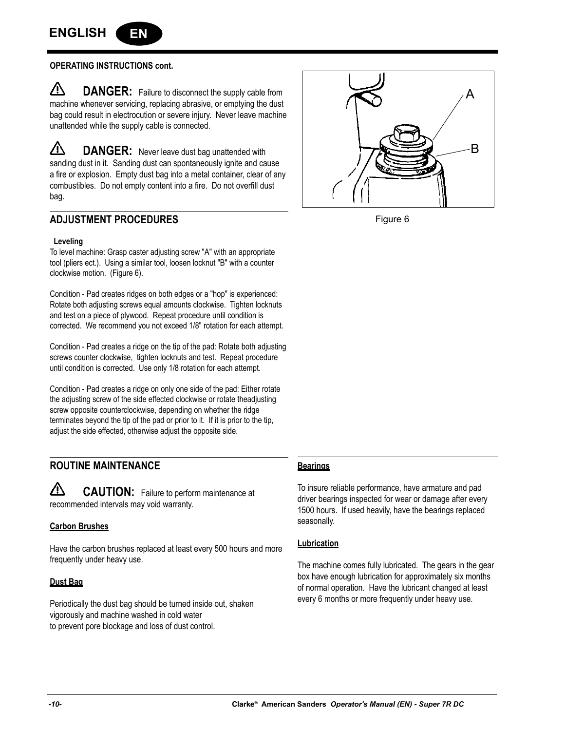**ENGLISH EN**

### **OPERATING INSTRUCTIONS cont.**

八 **DANGER:** Failure to disconnect the supply cable from machine whenever servicing, replacing abrasive, or emptying the dust bag could result in electrocution or severe injury. Never leave machine unattended while the supply cable is connected.

八 **DANGER:** Never leave dust bag unattended with sanding dust in it. Sanding dust can spontaneously ignite and cause a fire or explosion. Empty dust bag into a metal container, clear of any combustibles. Do not empty content into a fire. Do not overfill dust bag.

## **ADJUSTMENT PROCEDURES**

#### **Leveling**

To level machine: Grasp caster adjusting screw "A" with an appropriate tool (pliers ect.). Using a similar tool, loosen locknut "B" with a counter clockwise motion. (Figure 6).

Condition - Pad creates ridges on both edges or a "hop" is experienced: Rotate both adjusting screws equal amounts clockwise. Tighten locknuts and test on a piece of plywood. Repeat procedure until condition is corrected. We recommend you not exceed 1/8" rotation for each attempt.

Condition - Pad creates a ridge on the tip of the pad: Rotate both adjusting screws counter clockwise, tighten locknuts and test. Repeat procedure until condition is corrected. Use only 1/8 rotation for each attempt.

Condition - Pad creates a ridge on only one side of the pad: Either rotate the adjusting screw of the side effected clockwise or rotate theadjusting screw opposite counterclockwise, depending on whether the ridge terminates beyond the tip of the pad or prior to it. If it is prior to the tip, adjust the side effected, otherwise adjust the opposite side.

## **ROUTINE MAINTENANCE**

八 **CAUTION:** Failure to perform maintenance at recommended intervals may void warranty.

#### **Carbon Brushes**

Have the carbon brushes replaced at least every 500 hours and more frequently under heavy use.

#### **Dust Bag**

Periodically the dust bag should be turned inside out, shaken vigorously and machine washed in cold water to prevent pore blockage and loss of dust control.



Figure 6

#### **Bearings**

To insure reliable performance, have armature and pad driver bearings inspected for wear or damage after every 1500 hours. If used heavily, have the bearings replaced seasonally.

#### **Lubrication**

The machine comes fully lubricated. The gears in the gear box have enough lubrication for approximately six months of normal operation. Have the lubricant changed at least every 6 months or more frequently under heavy use.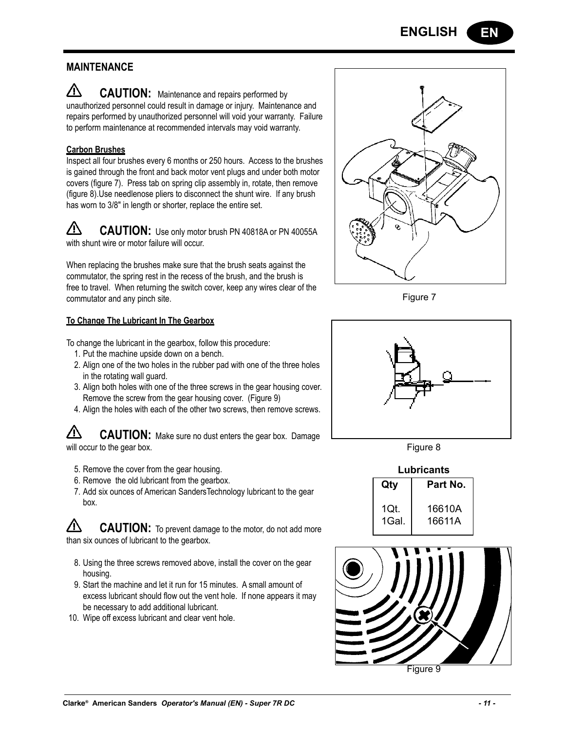## **MAINTENANCE**

Л **CAUTION:** Maintenance and repairs performed by unauthorized personnel could result in damage or injury. Maintenance and repairs performed by unauthorized personnel will void your warranty. Failure to perform maintenance at recommended intervals may void warranty.

#### **Carbon Brushes**

Inspect all four brushes every 6 months or 250 hours. Access to the brushes is gained through the front and back motor vent plugs and under both motor covers (figure 7). Press tab on spring clip assembly in, rotate, then remove (figure 8). Use needlenose pliers to disconnect the shunt wire. If any brush has worn to 3/8" in length or shorter, replace the entire set.

Δ **CAUTION:** Use only motor brush PN 40818A or PN 40055A with shunt wire or motor failure will occur.

When replacing the brushes make sure that the brush seats against the commutator, the spring rest in the recess of the brush, and the brush is free to travel. When returning the switch cover, keep any wires clear of the commutator and any pinch site.

#### **To Change The Lubricant In The Gearbox**

To change the lubricant in the gearbox, follow this procedure:

- 1. Put the machine upside down on a bench.
- 2. Align one of the two holes in the rubber pad with one of the three holes in the rotating wall guard.
- 3. Align both holes with one of the three screws in the gear housing cover. Remove the screw from the gear housing cover. (Figure 9)
- 4. Align the holes with each of the other two screws, then remove screws.

**CAUTION:** Make sure no dust enters the gear box. Damage will occur to the gear box.

- 5. Remove the cover from the gear housing.
- 6. Remove the old lubricant from the gearbox.
- 7. Add six ounces of American SandersTechnology lubricant to the gear box.

八 **CAUTION:** To prevent damage to the motor, do not add more than six ounces of lubricant to the gearbox.

- 8. Using the three screws removed above, install the cover on the gear housing.
- 9. Start the machine and let it run for 15 minutes. A small amount of excess lubricant should flow out the vent hole. If none appears it may be necessary to add additional lubricant.
- 10. Wipe off excess lubricant and clear vent hole.



Figure 7



Figure 8

| Lubricants    |                  |  |
|---------------|------------------|--|
| Qty           | Part No.         |  |
| 1Qt.<br>1Gal. | 16610A<br>16611A |  |



Figure 9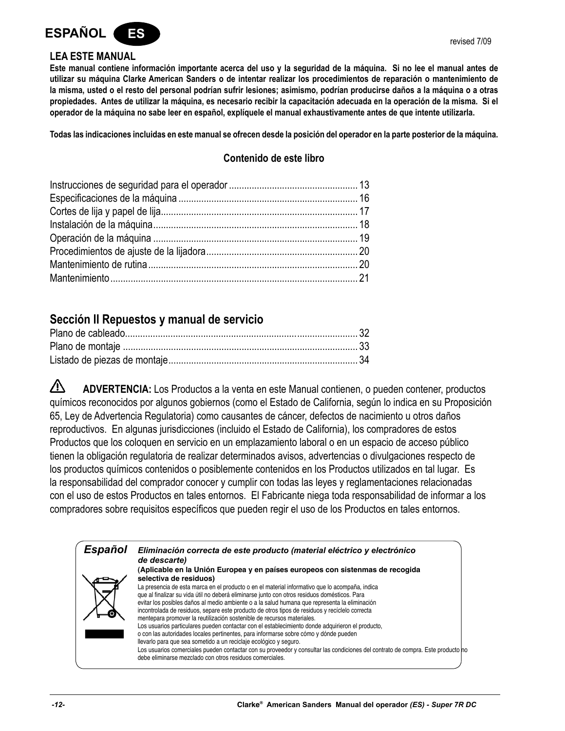

#### **LEA ESTE MANUAL**

**Este manual contiene información importante acerca del uso y la seguridad de la máquina. Si no lee el manual antes de utilizar su máquina Clarke American Sanders o de intentar realizar los procedimientos de reparación o mantenimiento de la misma, usted o el resto del personal podrían sufrir lesiones; asimismo, podrían producirse daños a la máquina o a otras propiedades. Antes de utilizar la máquina, es necesario recibir la capacitación adecuada en la operación de la misma. Si el operador de la máquina no sabe leer en español, explíquele el manual exhaustivamente antes de que intente utilizarla.**

**Todas las indicaciones incluidas en este manual se ofrecen desde la posición del operador en la parte posterior de la máquina.**

#### **Contenido de este libro**

## **Sección II Repuestos y manual de servicio**

ΛN **ADVERTENCIA:** Los Productos a la venta en este Manual contienen, o pueden contener, productos químicos reconocidos por algunos gobiernos (como el Estado de California, según lo indica en su Proposición 65, Ley de Advertencia Regulatoria) como causantes de cáncer, defectos de nacimiento u otros daños reproductivos. En algunas jurisdicciones (incluido el Estado de California), los compradores de estos Productos que los coloquen en servicio en un emplazamiento laboral o en un espacio de acceso público tienen la obligación regulatoria de realizar determinados avisos, advertencias o divulgaciones respecto de los productos químicos contenidos o posiblemente contenidos en los Productos utilizados en tal lugar. Es la responsabilidad del comprador conocer y cumplir con todas las leyes y reglamentaciones relacionadas con el uso de estos Productos en tales entornos. El Fabricante niega toda responsabilidad de informar a los compradores sobre requisitos específicos que pueden regir el uso de los Productos en tales entornos.

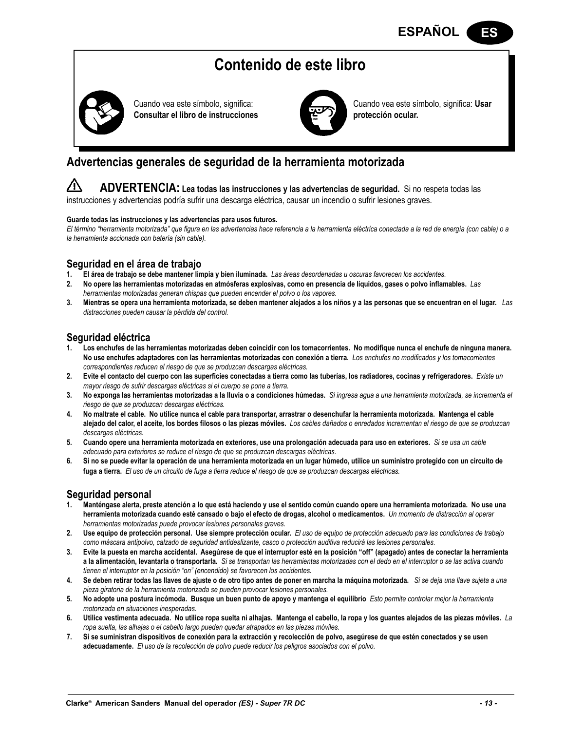**ESPAÑOL ES**

# **Contenido de este libro**



Cuando vea este símbolo, significa: **Consultar el libro de instrucciones**



Cuando vea este símbolo, significa: Usar **protección ocular.**

## **Advertencias generales de seguridad de la herramienta motorizada**

ΛN **ADVERTENCIA: Lea todas las instrucciones y las advertencias de seguridad.** Si no respeta todas las instrucciones y advertencias podría sufrir una descarga eléctrica, causar un incendio o sufrir lesiones graves.

#### **Guarde todas las instrucciones y las advertencias para usos futuros.**

El término "herramienta motorizada" que figura en las advertencias hace referencia a la herramienta eléctrica conectada a la red de energía (con cable) o a *la herramienta accionada con batería (sin cable).*

#### **Seguridad en el área de trabajo**

- **1. El área de trabajo se debe mantener limpia y bien iluminada.** *Las áreas desordenadas u oscuras favorecen los accidentes.*
- 2. No opere las herramientas motorizadas en atmósferas explosivas, como en presencia de líquidos, gases o polvo inflamables. Las *herramientas motorizadas generan chispas que pueden encender el polvo o los vapores.*
- **3. Mientras se opera una herramienta motorizada, se deben mantener alejados a los niños y a las personas que se encuentran en el lugar.** *Las distracciones pueden causar la pérdida del control.*

#### **Seguridad eléctrica**

- 1. Los enchufes de las herramientas motorizadas deben coincidir con los tomacorrientes. No modifique nunca el enchufe de ninguna manera. No use enchufes adaptadores con las herramientas motorizadas con conexión a tierra. Los enchufes no modificados y los tomacorrientes *correspondientes reducen el riesgo de que se produzcan descargas eléctricas.*
- 2. Evite el contacto del cuerpo con las superficies conectadas a tierra como las tuberías, los radiadores, cocinas y refrigeradores. *Existe un mayor riesgo de sufrir descargas eléctricas si el cuerpo se pone a tierra.*
- **3. No exponga las herramientas motorizadas a la lluvia o a condiciones húmedas.** *Si ingresa agua a una herramienta motorizada, se incrementa el riesgo de que se produzcan descargas eléctricas.*
- **4. No maltrate el cable. No utilice nunca el cable para transportar, arrastrar o desenchufar la herramienta motorizada. Mantenga el cable**  alejado del calor, el aceite, los bordes filosos o las piezas móviles. Los cables dañados o enredados incrementan el riesgo de que se produzcan *descargas eléctricas.*
- **5. Cuando opere una herramienta motorizada en exteriores, use una prolongación adecuada para uso en exteriores.** *Si se usa un cable adecuado para exteriores se reduce el riesgo de que se produzcan descargas eléctricas.*
- **6. Si no se puede evitar la operación de una herramienta motorizada en un lugar húmedo, utilice un suministro protegido con un circuito de fuga a tierra.** *El uso de un circuito de fuga a tierra reduce el riesgo de que se produzcan descargas eléctricas.*

#### **Seguridad personal**

- **1. Manténgase alerta, preste atención a lo que está haciendo y use el sentido común cuando opere una herramienta motorizada. No use una herramienta motorizada cuando esté cansado o bajo el efecto de drogas, alcohol o medicamentos.** *Un momento de distracción al operar herramientas motorizadas puede provocar lesiones personales graves.*
- **2. Use equipo de protección personal. Use siempre protección ocular.** *El uso de equipo de protección adecuado para las condiciones de trabajo como máscara antipolvo, calzado de seguridad antideslizante, casco o protección auditiva reducirá las lesiones personales.*
- **3. Evite la puesta en marcha accidental. Asegúrese de que el interruptor esté en la posición "off" (apagado) antes de conectar la herramienta a la alimentación, levantarla o transportarla.** *Si se transportan las herramientas motorizadas con el dedo en el interruptor o se las activa cuando tienen el interruptor en la posición "on" (encendido) se favorecen los accidentes.*
- **4. Se deben retirar todas las llaves de ajuste o de otro tipo antes de poner en marcha la máquina motorizada.** *Si se deja una llave sujeta a una pieza giratoria de la herramienta motorizada se pueden provocar lesiones personales.*
- **5. No adopte una postura incómoda. Busque un buen punto de apoyo y mantenga el equilibrio** *Esto permite controlar mejor la herramienta motorizada en situaciones inesperadas.*
- **6. Utilice vestimenta adecuada. No utilice ropa suelta ni alhajas. Mantenga el cabello, la ropa y los guantes alejados de las piezas móviles.** *La ropa suelta, las alhajas o el cabello largo pueden quedar atrapados en las piezas móviles.*
- **7. Si se suministran dispositivos de conexión para la extracción y recolección de polvo, asegúrese de que estén conectados y se usen adecuadamente.** *El uso de la recolección de polvo puede reducir los peligros asociados con el polvo.*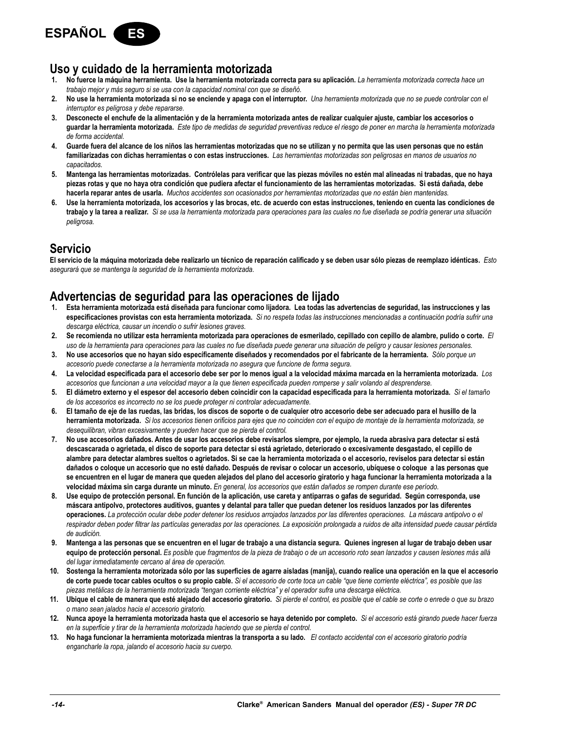

## **Uso y cuidado de la herramienta motorizada**

- **1. No fuerce la máquina herramienta. Use la herramienta motorizada correcta para su aplicación.** *La herramienta motorizada correcta hace un trabajo mejor y más seguro si se usa con la capacidad nominal con que se diseñó.*
- **2. No use la herramienta motorizada si no se enciende y apaga con el interruptor.** *Una herramienta motorizada que no se puede controlar con el interruptor es peligrosa y debe repararse.*
- **3. Desconecte el enchufe de la alimentación y de la herramienta motorizada antes de realizar cualquier ajuste, cambiar los accesorios o guardar la herramienta motorizada.** *Este tipo de medidas de seguridad preventivas reduce el riesgo de poner en marcha la herramienta motorizada de forma accidental.*
- **4. Guarde fuera del alcance de los niños las herramientas motorizadas que no se utilizan y no permita que las usen personas que no están familiarizadas con dichas herramientas o con estas instrucciones.** *Las herramientas motorizadas son peligrosas en manos de usuarios no capacitados.*
- **5. Mantenga las herramientas motorizadas. Contrólelas para verifi car que las piezas móviles no estén mal alineadas ni trabadas, que no haya piezas rotas y que no haya otra condición que pudiera afectar el funcionamiento de las herramientas motorizadas. Si está dañada, debe hacerla reparar antes de usarla.** *Muchos accidentes son ocasionados por herramientas motorizadas que no están bien mantenidas.*
- **6. Use la herramienta motorizada, los accesorios y las brocas, etc. de acuerdo con estas instrucciones, teniendo en cuenta las condiciones de trabajo y la tarea a realizar.** *Si se usa la herramienta motorizada para operaciones para las cuales no fue diseñada se podría generar una situación peligrosa.*

## **Servicio**

El servicio de la máquina motorizada debe realizarlo un técnico de reparación calificado y se deben usar sólo piezas de reemplazo idénticas. Esto *asegurará que se mantenga la seguridad de la herramienta motorizada.* 

## **Advertencias de seguridad para las operaciones de lijado**

- **1. Esta herramienta motorizada está diseñada para funcionar como lijadora. Lea todas las advertencias de seguridad, las instrucciones y las**  especificaciones provistas con esta herramienta motorizada. Si no respeta todas las instrucciones mencionadas a continuación podría sufrir una *descarga eléctrica, causar un incendio o sufrir lesiones graves.*
- **2. Se recomienda no utilizar esta herramienta motorizada para operaciones de esmerilado, cepillado con cepillo de alambre, pulido o corte.** *El uso de la herramienta para operaciones para las cuales no fue diseñada puede generar una situación de peligro y causar lesiones personales.*
- **3. No use accesorios que no hayan sido específi camente diseñados y recomendados por el fabricante de la herramienta.** *Sólo porque un accesorio puede conectarse a la herramienta motorizada no asegura que funcione de forma segura.*
- **4. La velocidad especifi cada para el accesorio debe ser por lo menos igual a la velocidad máxima marcada en la herramienta motorizada.** *Los accesorios que funcionan a una velocidad mayor a la que tienen especifi cada pueden romperse y salir volando al desprenderse.*
- **5. El diámetro externo y el espesor del accesorio deben coincidir con la capacidad especifi cada para la herramienta motorizada.** *Si el tamaño de los accesorios es incorrecto no se los puede proteger ni controlar adecuadamente.*
- **6. El tamaño de eje de las ruedas, las bridas, los discos de soporte o de cualquier otro accesorio debe ser adecuado para el husillo de la**  herramienta motorizada. Si los accesorios tienen orificios para ejes que no coinciden con el equipo de montaje de la herramienta motorizada, se *desequilibran, vibran excesivamente y pueden hacer que se pierda el control.*
- **7. No use accesorios dañados. Antes de usar los accesorios debe revisarlos siempre, por ejemplo, la rueda abrasiva para detectar si está descascarada o agrietada, el disco de soporte para detectar si está agrietado, deteriorado o excesivamente desgastado, el cepillo de alambre para detectar alambres sueltos o agrietados. Si se cae la herramienta motorizada o el accesorio, revíselos para detectar si están dañados o coloque un accesorio que no esté dañado. Después de revisar o colocar un accesorio, ubíquese o coloque a las personas que se encuentren en el lugar de manera que queden alejados del plano del accesorio giratorio y haga funcionar la herramienta motorizada a la velocidad máxima sin carga durante un minuto.** *En general, los accesorios que están dañados se rompen durante ese período.*
- **8. Use equipo de protección personal. En función de la aplicación, use careta y antiparras o gafas de seguridad. Según corresponda, use máscara antipolvo, protectores auditivos, guantes y delantal para taller que puedan detener los residuos lanzados por las diferentes operaciones.** *La protección ocular debe poder detener los residuos arrojados lanzados por las diferentes operaciones. La máscara antipolvo o el*  respirador deben poder filtrar las partículas generadas por las operaciones. La exposición prolongada a ruidos de alta intensidad puede causar pérdida *de audición.*
- **9. Mantenga a las personas que se encuentren en el lugar de trabajo a una distancia segura. Quienes ingresen al lugar de trabajo deben usar equipo de protección personal.** *Es posible que fragmentos de la pieza de trabajo o de un accesorio roto sean lanzados y causen lesiones más allá del lugar inmediatamente cercano al área de operación.*
- 10. Sostenga la herramienta motorizada sólo por las superficies de agarre aisladas (manija), cuando realice una operación en la que el accesorio **de corte puede tocar cables ocultos o su propio cable.** *Si el accesorio de corte toca un cable "que tiene corriente eléctrica", es posible que las piezas metálicas de la herramienta motorizada "tengan corriente eléctrica" y el operador sufra una descarga eléctrica.*
- **11. Ubique el cable de manera que esté alejado del accesorio giratorio.** *Si pierde el control, es posible que el cable se corte o enrede o que su brazo o mano sean jalados hacia el accesorio giratorio.*
- **12. Nunca apoye la herramienta motorizada hasta que el accesorio se haya detenido por completo.** *Si el accesorio está girando puede hacer fuerza*  en la superficie y tirar de la herramienta motorizada haciendo que se pierda el control.
- **13. No haga funcionar la herramienta motorizada mientras la transporta a su lado.** *El contacto accidental con el accesorio giratorio podría engancharle la ropa, jalando el accesorio hacia su cuerpo.*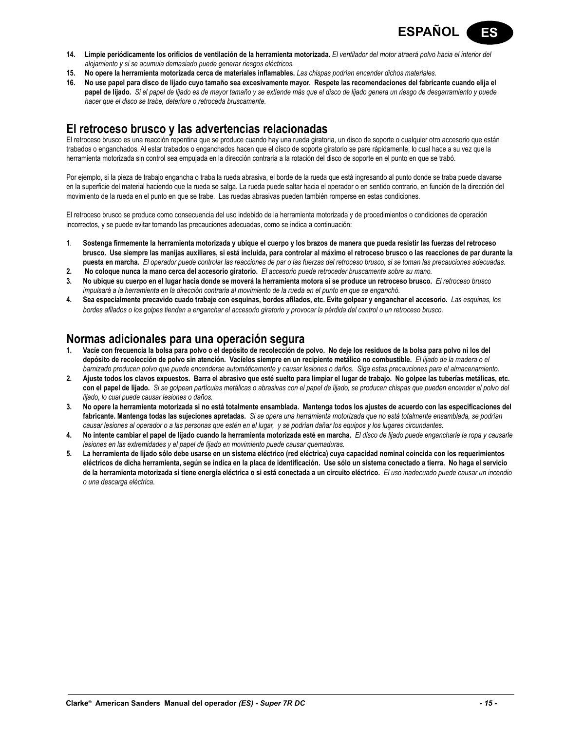

- 14. Limpie periódicamente los orificios de ventilación de la herramienta motorizada. *El ventilador del motor atraerá polvo hacia el interior del alojamiento y si se acumula demasiado puede generar riesgos eléctricos.*
- 15. No opere la herramienta motorizada cerca de materiales inflamables. Las chispas podrían encender dichos materiales.
- **16. No use papel para disco de lijado cuyo tamaño sea excesivamente mayor. Respete las recomendaciones del fabricante cuando elija el papel de lijado.** *Si el papel de lijado es de mayor tamaño y se extiende más que el disco de lijado genera un riesgo de desgarramiento y puede hacer que el disco se trabe, deteriore o retroceda bruscamente.*

## **El retroceso brusco y las advertencias relacionadas**

El retroceso brusco es una reacción repentina que se produce cuando hay una rueda giratoria, un disco de soporte o cualquier otro accesorio que están trabados o enganchados. Al estar trabados o enganchados hacen que el disco de soporte giratorio se pare rápidamente, lo cual hace a su vez que la herramienta motorizada sin control sea empujada en la dirección contraria a la rotación del disco de soporte en el punto en que se trabó.

Por ejemplo, si la pieza de trabajo engancha o traba la rueda abrasiva, el borde de la rueda que está ingresando al punto donde se traba puede clavarse en la superficie del material haciendo que la rueda se salga. La rueda puede saltar hacia el operador o en sentido contrario, en función de la dirección del movimiento de la rueda en el punto en que se trabe. Las ruedas abrasivas pueden también romperse en estas condiciones.

El retroceso brusco se produce como consecuencia del uso indebido de la herramienta motorizada y de procedimientos o condiciones de operación incorrectos, y se puede evitar tomando las precauciones adecuadas, como se indica a continuación:

- 1. **Sostenga fi rmemente la herramienta motorizada y ubique el cuerpo y los brazos de manera que pueda resistir las fuerzas del retroceso brusco. Use siempre las manijas auxiliares, si está incluida, para controlar al máximo el retroceso brusco o las reacciones de par durante la puesta en marcha.** *El operador puede controlar las reacciones de par o las fuerzas del retroceso brusco, si se toman las precauciones adecuadas.*
- **2. No coloque nunca la mano cerca del accesorio giratorio.** *El accesorio puede retroceder bruscamente sobre su mano.*
- **3. No ubique su cuerpo en el lugar hacia donde se moverá la herramienta motora si se produce un retroceso brusco.** *El retroceso brusco impulsará a la herramienta en la dirección contraria al movimiento de la rueda en el punto en que se enganchó.*
- Sea especialmente precavido cuado trabaje con esquinas, bordes afilados, etc. Evite golpear y enganchar el accesorio. Las esquinas, los *bordes afi lados o los golpes tienden a enganchar el accesorio giratorio y provocar la pérdida del control o un retroceso brusco.*

## **Normas adicionales para una operación segura**

- **1. Vacíe con frecuencia la bolsa para polvo o el depósito de recolección de polvo. No deje los residuos de la bolsa para polvo ni los del depósito de recolección de polvo sin atención. Vacíelos siempre en un recipiente metálico no combustible.** *El lijado de la madera o el barnizado producen polvo que puede encenderse automáticamente y causar lesiones o daños. Siga estas precauciones para el almacenamiento.*
- **2. Ajuste todos los clavos expuestos. Barra el abrasivo que esté suelto para limpiar el lugar de trabajo. No golpee las tuberías metálicas, etc. con el papel de lijado.** *Si se golpean partículas metálicas o abrasivas con el papel de lijado, se producen chispas que pueden encender el polvo del lijado, lo cual puede causar lesiones o daños.*
- 3. No opere la herramienta motorizada si no está totalmente ensamblada. Mantenga todos los ajustes de acuerdo con las especificaciones del **fabricante. Mantenga todas las sujeciones apretadas.** *Si se opera una herramienta motorizada que no está totalmente ensamblada, se podrían causar lesiones al operador o a las personas que estén en el lugar, y se podrían dañar los equipos y los lugares circundantes.*
- **4. No intente cambiar el papel de lijado cuando la herramienta motorizada esté en marcha.** *El disco de lijado puede engancharle la ropa y causarle lesiones en las extremidades y el papel de lijado en movimiento puede causar quemaduras.*
- **5. La herramienta de lijado sólo debe usarse en un sistema eléctrico (red eléctrica) cuya capacidad nominal coincida con los requerimientos**  eléctricos de dicha herramienta, según se indica en la placa de identificación. Use sólo un sistema conectado a tierra. No haga el servicio **de la herramienta motorizada si tiene energía eléctrica o si está conectada a un circuito eléctrico.** *El uso inadecuado puede causar un incendio o una descarga eléctrica.*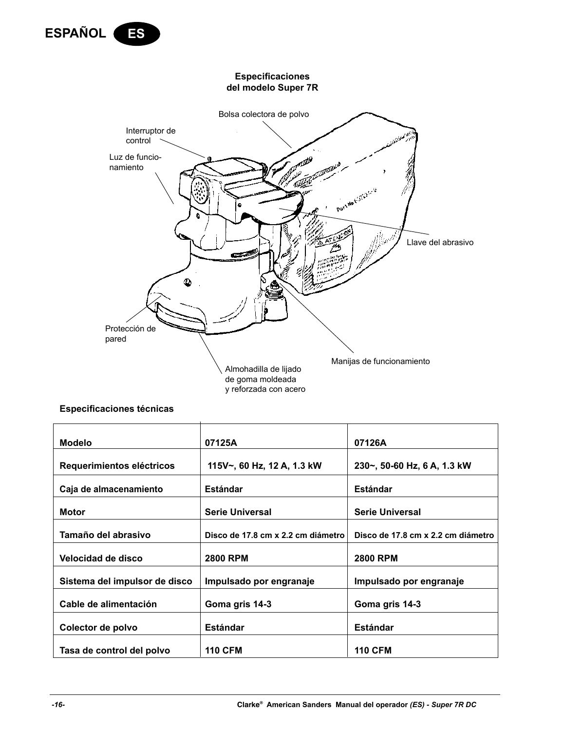

#### **Especifi caciones del modelo Super 7R**



## **Especifi caciones técnicas**

| <b>Modelo</b>                 | 07125A                             | 07126A                             |
|-------------------------------|------------------------------------|------------------------------------|
|                               |                                    |                                    |
| Requerimientos eléctricos     | 115V~, 60 Hz, 12 A, 1.3 kW         | 230~, 50-60 Hz, 6 A, 1.3 kW        |
| Caja de almacenamiento        | <b>Estándar</b>                    | <b>Estándar</b>                    |
| <b>Motor</b>                  | <b>Serie Universal</b>             | <b>Serie Universal</b>             |
| Tamaño del abrasivo           | Disco de 17.8 cm x 2.2 cm diámetro | Disco de 17.8 cm x 2.2 cm diámetro |
| Velocidad de disco            | <b>2800 RPM</b>                    | <b>2800 RPM</b>                    |
| Sistema del impulsor de disco | Impulsado por engranaje            | Impulsado por engranaje            |
| Cable de alimentación         | Goma gris 14-3                     | Goma gris 14-3                     |
| Colector de polvo             | <b>Estándar</b>                    | <b>Estándar</b>                    |
| Tasa de control del polvo     | <b>110 CFM</b>                     | <b>110 CFM</b>                     |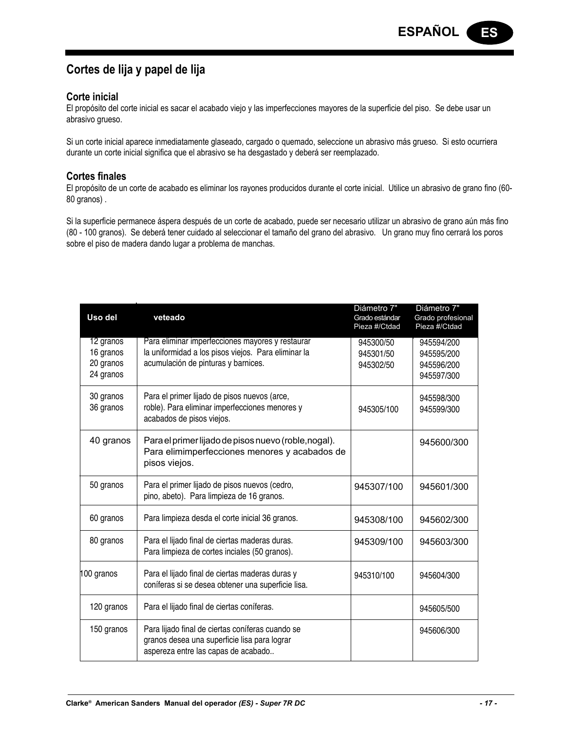# **Cortes de lija y papel de lija**

#### **Corte inicial**

El propósito del corte inicial es sacar el acabado viejo y las imperfecciones mayores de la superficie del piso. Se debe usar un abrasivo grueso.

Si un corte inicial aparece inmediatamente glaseado, cargado o quemado, seleccione un abrasivo más grueso. Si esto ocurriera durante un corte inicial significa que el abrasivo se ha desgastado y deberá ser reemplazado.

### **Cortes finales**

El propósito de un corte de acabado es eliminar los rayones producidos durante el corte inicial. Utilice un abrasivo de grano fino (60-80 granos) .

Si la superficie permanece áspera después de un corte de acabado, puede ser necesario utilizar un abrasivo de grano aún más fino (80 - 100 granos). Se deberá tener cuidado al seleccionar el tamaño del grano del abrasivo. Un grano muy fino cerrará los poros sobre el piso de madera dando lugar a problema de manchas.

| Uso del                | veteado                                                                                                                                 | Diámetro 7"<br>Grado estándar<br>Pieza #/Ctdad | Diámetro 7"<br>Grado profesional<br>Pieza #/Ctdad |
|------------------------|-----------------------------------------------------------------------------------------------------------------------------------------|------------------------------------------------|---------------------------------------------------|
| 12 granos              | Para eliminar imperfecciones mayores y restaurar                                                                                        | 945300/50                                      | 945594/200                                        |
| 16 granos<br>20 granos | la uniformidad a los pisos viejos. Para eliminar la<br>acumulación de pinturas y barnices.                                              | 945301/50                                      | 945595/200                                        |
| 24 granos              |                                                                                                                                         | 945302/50                                      | 945596/200<br>945597/300                          |
| 30 granos              | Para el primer lijado de pisos nuevos (arce,                                                                                            |                                                | 945598/300                                        |
| 36 granos              | roble). Para eliminar imperfecciones menores y<br>acabados de pisos viejos.                                                             | 945305/100                                     | 945599/300                                        |
| 40 granos              | Para el primer lijado de pisos nuevo (roble, nogal).<br>Para elimimperfecciones menores y acabados de<br>pisos viejos.                  |                                                | 945600/300                                        |
| 50 granos              | Para el primer lijado de pisos nuevos (cedro,<br>pino, abeto). Para limpieza de 16 granos.                                              | 945307/100                                     | 945601/300                                        |
| 60 granos              | Para limpieza desda el corte inicial 36 granos.                                                                                         | 945308/100                                     | 945602/300                                        |
| 80 granos              | Para el lijado final de ciertas maderas duras.<br>Para limpieza de cortes inciales (50 granos).                                         | 945309/100                                     | 945603/300                                        |
| 100 granos             | Para el lijado final de ciertas maderas duras y<br>coníferas si se desea obtener una superficie lisa.                                   | 945310/100                                     | 945604/300                                        |
| 120 granos             | Para el lijado final de ciertas coníferas.                                                                                              |                                                | 945605/500                                        |
| 150 granos             | Para lijado final de ciertas coníferas cuando se<br>granos desea una superficie lisa para lograr<br>aspereza entre las capas de acabado |                                                | 945606/300                                        |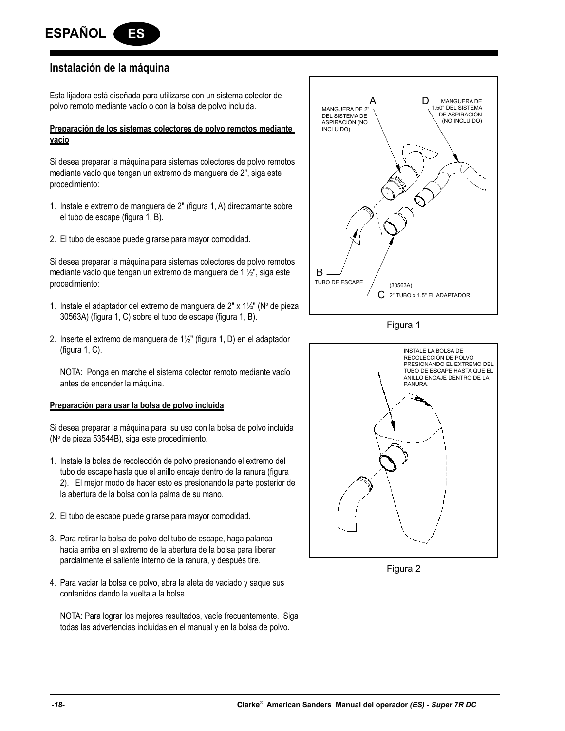**ESPAÑOL ES**

## **Instalación de la máquina**

Esta lijadora está diseñada para utilizarse con un sistema colector de polvo remoto mediante vacío o con la bolsa de polvo incluida.

#### **Preparación de los sistemas colectores de polvo remotos mediante vacío**

Si desea preparar la máquina para sistemas colectores de polvo remotos mediante vacío que tengan un extremo de manguera de 2", siga este procedimiento:

- 1. Instale e extremo de manguera de 2" (figura 1, A) directamante sobre el tubo de escape (figura 1, B).
- 2. El tubo de escape puede girarse para mayor comodidad.

Si desea preparar la máquina para sistemas colectores de polvo remotos mediante vacío que tengan un extremo de manguera de 1 ½", siga este procedimiento:

- 1. Instale el adaptador del extremo de manguera de  $2" \times 1\frac{1}{2}"$  (N° de pieza 30563A) (figura 1, C) sobre el tubo de escape (figura 1, B).
- 2. Inserte el extremo de manguera de  $1\frac{1}{2}$ " (figura 1, D) en el adaptador  $(figura 1, C)$ .

 NOTA: Ponga en marche el sistema colector remoto mediante vacío antes de encender la máquina.

#### **Preparación para usar la bolsa de polvo incluida**

Si desea preparar la máquina para su uso con la bolsa de polvo incluida (Nº de pieza 53544B), siga este procedimiento.

- 1. Instale la bolsa de recolección de polvo presionando el extremo del tubo de escape hasta que el anillo encaje dentro de la ranura (figura 2). El mejor modo de hacer esto es presionando la parte posterior de la abertura de la bolsa con la palma de su mano.
- 2. El tubo de escape puede girarse para mayor comodidad.
- 3. Para retirar la bolsa de polvo del tubo de escape, haga palanca hacia arriba en el extremo de la abertura de la bolsa para liberar parcialmente el saliente interno de la ranura, y después tire.
- 4. Para vaciar la bolsa de polvo, abra la aleta de vaciado y saque sus contenidos dando la vuelta a la bolsa.

NOTA: Para lograr los mejores resultados, vacíe frecuentemente. Siga todas las advertencias incluidas en el manual y en la bolsa de polvo.



Figura 1



Figura 2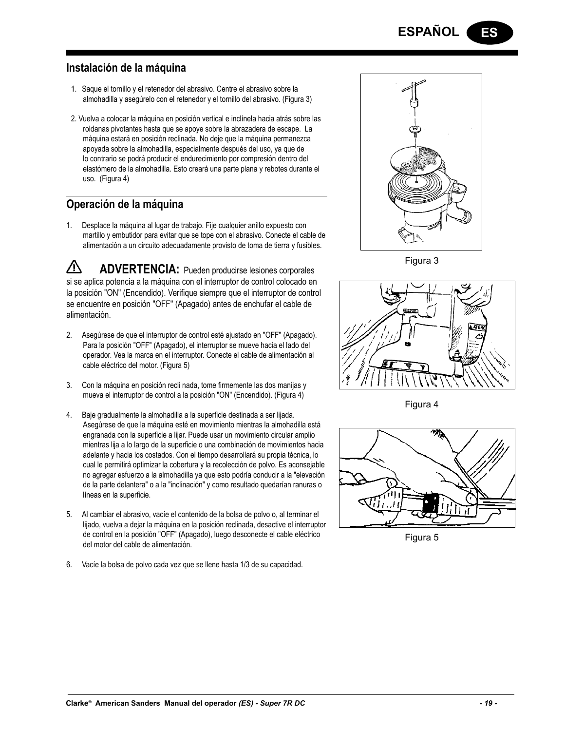## **Instalación de la máquina**

- 1. Saque el tornillo y el retenedor del abrasivo. Centre el abrasivo sobre la almohadilla y asegúrelo con el retenedor y el tornillo del abrasivo. (Figura 3)
- 2. Vuelva a colocar la máquina en posición vertical e inclínela hacia atrás sobre las roldanas pivotantes hasta que se apoye sobre la abrazadera de escape. La máquina estará en posición reclinada. No deje que la máquina permanezca apoyada sobre la almohadilla, especialmente después del uso, ya que de lo contrario se podrá producir el endurecimiento por compresión dentro del elastómero de la almohadilla. Esto creará una parte plana y rebotes durante el uso. (Figura 4)

## **Operación de la máquina**

1. Desplace la máquina al lugar de trabajo. Fije cualquier anillo expuesto con martillo y embutidor para evitar que se tope con el abrasivo. Conecte el cable de alimentación a un circuito adecuadamente provisto de toma de tierra y fusibles.

ハ **ADVERTENCIA:** Pueden producirse lesiones corporales si se aplica potencia a la máquina con el interruptor de control colocado en la posición "ON" (Encendido). Verifique siempre que el interruptor de control se encuentre en posición "OFF" (Apagado) antes de enchufar el cable de alimentación.

- 2. Asegúrese de que el interruptor de control esté ajustado en "OFF" (Apagado). Para la posición "OFF" (Apagado), el interruptor se mueve hacia el lado del operador. Vea la marca en el interruptor. Conecte el cable de alimentación al cable eléctrico del motor. (Figura 5)
- 3. Con la máquina en posición recli nada, tome firmemente las dos manijas y mueva el interruptor de control a la posición "ON" (Encendido). (Figura 4)
- 4. Baje gradualmente la almohadilla a la superficie destinada a ser lijada. Asegúrese de que la máquina esté en movimiento mientras la almohadilla está engranada con la superficie a lijar. Puede usar un movimiento circular amplio mientras lija a lo largo de la superficie o una combinación de movimientos hacia adelante y hacia los costados. Con el tiempo desarrollará su propia técnica, lo cual le permitirá optimizar la cobertura y la recolección de polvo. Es aconsejable no agregar esfuerzo a la almohadilla ya que esto podría conducir a la "elevación de la parte delantera" o a la "inclinación" y como resultado quedarían ranuras o líneas en la superficie.
- 5. Al cambiar el abrasivo, vacíe el contenido de la bolsa de polvo o, al terminar el lijado, vuelva a dejar la máquina en la posición reclinada, desactive el interruptor de control en la posición "OFF" (Apagado), luego desconecte el cable eléctrico del motor del cable de alimentación.
- 6. Vacíe la bolsa de polvo cada vez que se llene hasta 1/3 de su capacidad.



Figura 3



Figura 4



Figura 5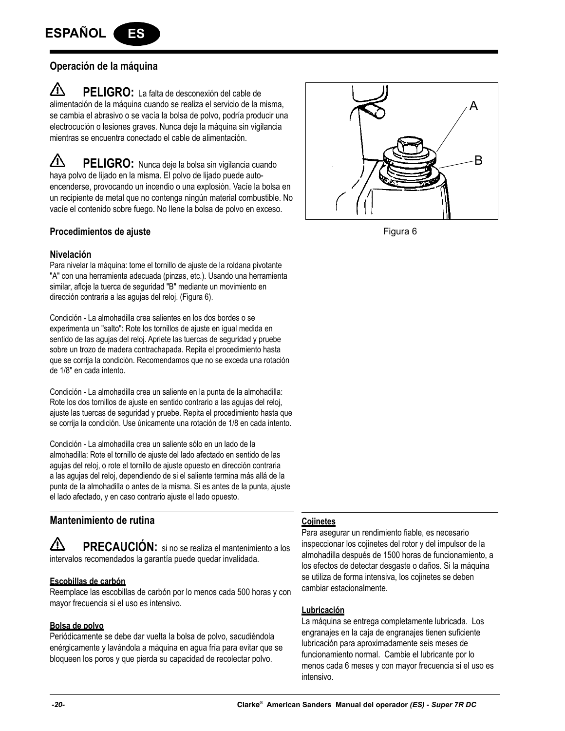## **Operación de la máquina**

**ESPAÑOL ES**

八 **PELIGRO:** La falta de desconexión del cable de alimentación de la máquina cuando se realiza el servicio de la misma, se cambia el abrasivo o se vacía la bolsa de polvo, podría producir una electrocución o lesiones graves. Nunca deje la máquina sin vigilancia mientras se encuentra conectado el cable de alimentación.

八 **PELIGRO:** Nunca deje la bolsa sin vigilancia cuando haya polvo de lijado en la misma. El polvo de lijado puede autoencenderse, provocando un incendio o una explosión. Vacíe la bolsa en un recipiente de metal que no contenga ningún material combustible. No vacíe el contenido sobre fuego. No llene la bolsa de polvo en exceso.

#### **Procedimientos de ajuste**

#### **Nivelación**

Para nivelar la máquina: tome el tornillo de ajuste de la roldana pivotante "A" con una herramienta adecuada (pinzas, etc.). Usando una herramienta similar, afloje la tuerca de seguridad "B" mediante un movimiento en dirección contraria a las agujas del reloj. (Figura 6).

Condición - La almohadilla crea salientes en los dos bordes o se experimenta un "salto": Rote los tornillos de ajuste en igual medida en sentido de las agujas del reloj. Apriete las tuercas de seguridad y pruebe sobre un trozo de madera contrachapada. Repita el procedimiento hasta que se corrija la condición. Recomendamos que no se exceda una rotación de 1/8" en cada intento.

Condición - La almohadilla crea un saliente en la punta de la almohadilla: Rote los dos tornillos de ajuste en sentido contrario a las agujas del reloj, ajuste las tuercas de seguridad y pruebe. Repita el procedimiento hasta que se corrija la condición. Use únicamente una rotación de 1/8 en cada intento.

Condición - La almohadilla crea un saliente sólo en un lado de la almohadilla: Rote el tornillo de ajuste del lado afectado en sentido de las agujas del reloj, o rote el tornillo de ajuste opuesto en dirección contraria a las agujas del reloj, dependiendo de si el saliente termina más allá de la punta de la almohadilla o antes de la misma. Si es antes de la punta, ajuste el lado afectado, y en caso contrario ajuste el lado opuesto.

#### **Mantenimiento de rutina**

ハ **PRECAUCIÓN:** si no se realiza el mantenimiento a los intervalos recomendados la garantía puede quedar invalidada.

#### **Escobillas de carbón**

Reemplace las escobillas de carbón por lo menos cada 500 horas y con mayor frecuencia si el uso es intensivo.

#### **Bolsa de polvo**

Periódicamente se debe dar vuelta la bolsa de polvo, sacudiéndola enérgicamente y lavándola a máquina en agua fría para evitar que se bloqueen los poros y que pierda su capacidad de recolectar polvo.



Para asegurar un rendimiento fiable, es necesario inspeccionar los cojinetes del rotor y del impulsor de la almohadilla después de 1500 horas de funcionamiento, a los efectos de detectar desgaste o daños. Si la máquina se utiliza de forma intensiva, los cojinetes se deben cambiar estacionalmente.

#### **Lubricación**

La máquina se entrega completamente lubricada. Los engranajes en la caja de engranajes tienen suficiente lubricación para aproximadamente seis meses de funcionamiento normal. Cambie el lubricante por lo menos cada 6 meses y con mayor frecuencia si el uso es intensivo.



Figura 6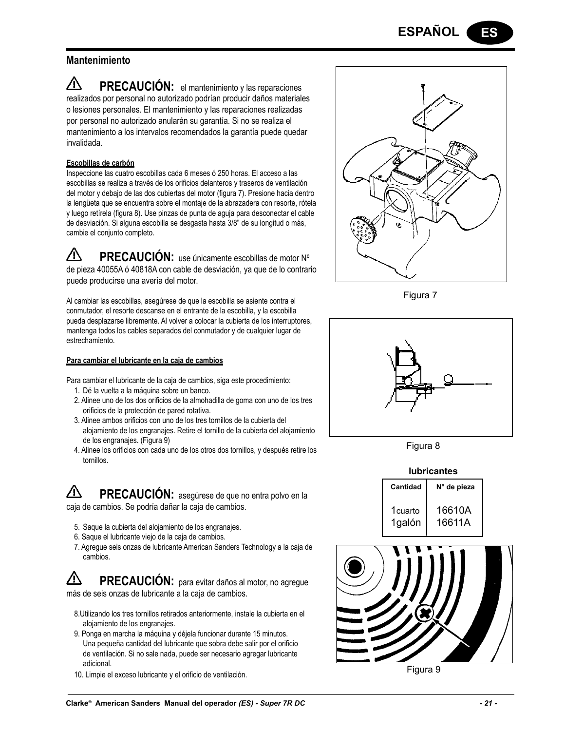#### **Mantenimiento**

**PRECAUCIÓN:** el mantenimiento y las reparaciones ハ realizados por personal no autorizado podrían producir daños materiales o lesiones personales. El mantenimiento y las reparaciones realizadas por personal no autorizado anularán su garantía. Si no se realiza el mantenimiento a los intervalos recomendados la garantía puede quedar invalidada.

#### **Escobillas de carbón**

Inspeccione las cuatro escobillas cada 6 meses ó 250 horas. El acceso a las escobillas se realiza a través de los orificios delanteros y traseros de ventilación del motor y debajo de las dos cubiertas del motor (figura 7). Presione hacia dentro la lengüeta que se encuentra sobre el montaje de la abrazadera con resorte, rótela y luego retírela (figura 8). Use pinzas de punta de aguja para desconectar el cable de desviación. Si alguna escobilla se desgasta hasta 3/8" de su longitud o más, cambie el conjunto completo.

ハ **PRECAUCIÓN:** use únicamente escobillas de motor Nº de pieza 40055A ó 40818A con cable de desviación, ya que de lo contrario puede producirse una avería del motor.

Al cambiar las escobillas, asegúrese de que la escobilla se asiente contra el conmutador, el resorte descanse en el entrante de la escobilla, y la escobilla pueda desplazarse libremente. Al volver a colocar la cubierta de los interruptores, mantenga todos los cables separados del conmutador y de cualquier lugar de estrechamiento.

#### **Para cambiar el lubricante en la caja de cambios**

Para cambiar el lubricante de la caja de cambios, siga este procedimiento:

- 1. Dé la vuelta a la máquina sobre un banco.
- 2. Alinee uno de los dos orificios de la almohadilla de goma con uno de los tres orificios de la protección de pared rotativa.
- 3. Alinee ambos orificios con uno de los tres tornillos de la cubierta del alojamiento de los engranajes. Retire el tornillo de la cubierta del alojamiento de los engranajes. (Figura 9)
- 4. Alinee los orificios con cada uno de los otros dos tornillos, y después retire los tornillos.

八 **PRECAUCIÓN:** asegúrese de que no entra polvo en la caja de cambios. Se podría dañar la caja de cambios.

- 5. Saque la cubierta del alojamiento de los engranajes.
- 6. Saque el lubricante viejo de la caja de cambios.
- 7. Agregue seis onzas de lubricante American Sanders Technology a la caja de cambios.

八 **PRECAUCIÓN:** para evitar daños al motor, no agregue más de seis onzas de lubricante a la caja de cambios.

- 8.Utilizando los tres tornillos retirados anteriormente, instale la cubierta en el alojamiento de los engranajes.
- 9. Ponga en marcha la máquina y déjela funcionar durante 15 minutos. Una pequeña cantidad del lubricante que sobra debe salir por el orificio de ventilación. Si no sale nada, puede ser necesario agregar lubricante adicional.
- 10. Limpie el exceso lubricante y el orificio de ventilación.



Figura 7



Figura 8

| <b>Iubricantes</b> |                  |  |
|--------------------|------------------|--|
| Cantidad           | N° de pieza      |  |
| 1 cuarto<br>1galón | 16610A<br>16611A |  |



Figura 9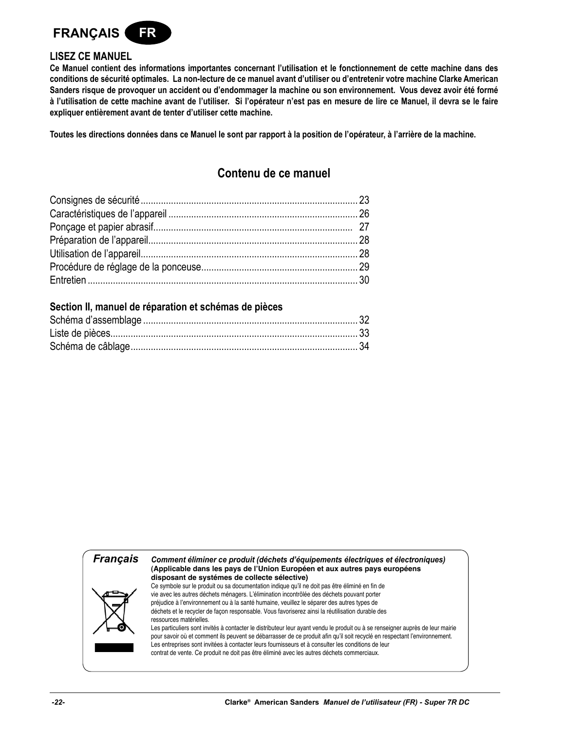

#### **LISEZ CE MANUEL**

**Ce Manuel contient des informations importantes concernant l'utilisation et le fonctionnement de cette machine dans des conditions de sécurité optimales. La non-lecture de ce manuel avant d'utiliser ou d'entretenir votre machine Clarke American Sanders risque de provoquer un accident ou d'endommager la machine ou son environnement. Vous devez avoir été formé à l'utilisation de cette machine avant de l'utiliser. Si l'opérateur n'est pas en mesure de lire ce Manuel, il devra se le faire expliquer entièrement avant de tenter d'utiliser cette machine.**

**Toutes les directions données dans ce Manuel le sont par rapport à la position de l'opérateur, à l'arrière de la machine.**

## **Contenu de ce manuel**

#### **Section II, manuel de réparation et schémas de pièces**

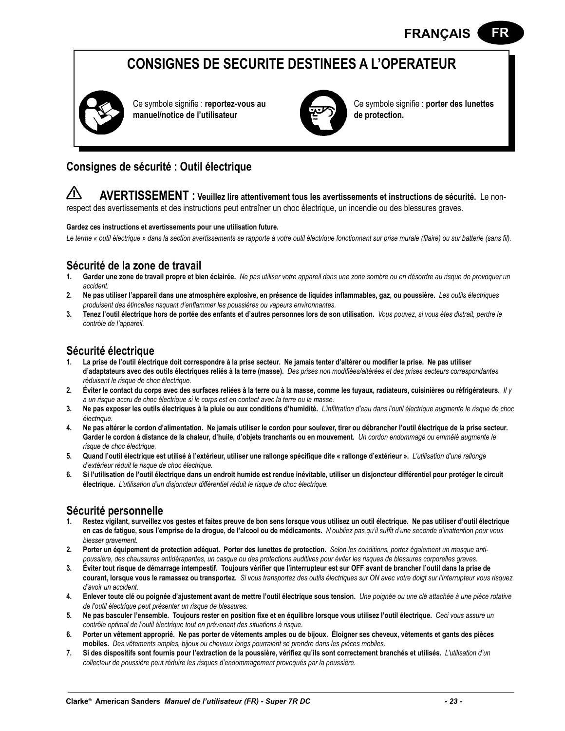# **CONSIGNES DE SECURITE DESTINEES A L'OPERATEUR**

|--|

Ce symbole signifie : **reportez-vous au manuel/notice de l'utilisateur**



Ce symbole signifie : **porter des lunettes de protection.**

## **Consignes de sécurité : Outil électrique**

ハ **AVERTISSEMENT : Veuillez lire attentivement tous les avertissements et instructions de sécurité.** Le nonrespect des avertissements et des instructions peut entraîner un choc électrique, un incendie ou des blessures graves.

#### **Gardez ces instructions et avertissements pour une utilisation future.**

Le terme « outil électrique » dans la section avertissements se rapporte à votre outil électrique fonctionnant sur prise murale (filaire) ou sur batterie (sans fil).

## **Sécurité de la zone de travail**

- **1. Garder une zone de travail propre et bien éclairée.** *Ne pas utiliser votre appareil dans une zone sombre ou en désordre au risque de provoquer un accident.*
- 2. Ne pas utiliser l'appareil dans une atmosphère explosive, en présence de liquides inflammables, gaz, ou poussière. Les outils électriques produisent des étincelles risquant d'enflammer les poussières ou vapeurs environnantes.
- **3. Tenez l'outil électrique hors de portée des enfants et d'autres personnes lors de son utilisation.** *Vous pouvez, si vous êtes distrait, perdre le contrôle de l'appareil.*

#### **Sécurité électrique**

- 1. La prise de l'outil électrique doit correspondre à la prise secteur. Ne jamais tenter d'altérer ou modifier la prise. Ne pas utiliser d'adaptateurs avec des outils électriques reliés à la terre (masse). Des prises non modifiées/altérées et des prises secteurs correspondantes *réduisent le risque de choc électrique.*
- **2. Éviter le contact du corps avec des surfaces reliées à la terre ou à la masse, comme les tuyaux, radiateurs, cuisinières ou réfrigérateurs.** *Il y a un risque accru de choc électrique si le corps est en contact avec la terre ou la masse.*
- 3. Ne pas exposer les outils électriques à la pluie ou aux conditions d'humidité. L'infiltration d'eau dans l'outil électrique augmente le risque de choc *électrique.*
- **4. Ne pas altérer le cordon d'alimentation. Ne jamais utiliser le cordon pour soulever, tirer ou débrancher l'outil électrique de la prise secteur. Garder le cordon à distance de la chaleur, d'huile, d'objets tranchants ou en mouvement.** *Un cordon endommagé ou emmêlé augmente le risque de choc électrique.*
- 5. Quand l'outil électrique est utilisé à l'extérieur, utiliser une rallonge spécifique dite « rallonge d'extérieur ». L'utilisation d'une rallonge *d'extérieur réduit le risque de choc électrique.*
- **6. Si l'utilisation de l'outil électrique dans un endroit humide est rendue inévitable, utiliser un disjoncteur différentiel pour protéger le circuit électrique.** *L'utilisation d'un disjoncteur différentiel réduit le risque de choc électrique.*

## **Sécurité personnelle**

- **1. Restez vigilant, surveillez vos gestes et faites preuve de bon sens lorsque vous utilisez un outil électrique. Ne pas utiliser d'outil électrique en cas de fatigue, sous l'emprise de la drogue, de l'alcool ou de médicaments.** *N'oubliez pas qu'il suffi t d'une seconde d'inattention pour vous blesser gravement.*
- **2. Porter un équipement de protection adéquat. Porter des lunettes de protection.** *Selon les conditions, portez également un masque antipoussière, des chaussures antidérapantes, un casque ou des protections auditives pour éviter les risques de blessures corporelles graves.*
- 3. Éviter tout risque de démarrage intempestif. Toujours vérifier que l'interrupteur est sur OFF avant de brancher l'outil dans la prise de **courant, lorsque vous le ramassez ou transportez.** *Si vous transportez des outils électriques sur ON avec votre doigt sur l'interrupteur vous risquez d'avoir un accident.*
- **4. Enlever toute clé ou poignée d'ajustement avant de mettre l'outil électrique sous tension.** *Une poignée ou une clé attachée à une pièce rotative de l'outil électrique peut présenter un risque de blessures.*
- 5. Ne pas basculer l'ensemble. Toujours rester en position fixe et en équilibre lorsque vous utilisez l'outil électrique. Ceci vous assure un *contrôle optimal de l'outil électrique tout en prévenant des situations à risque.*
- **6. Porter un vêtement approprié. Ne pas porter de vêtements amples ou de bijoux. Éloigner ses cheveux, vêtements et gants des pièces mobiles.** *Des vêtements amples, bijoux ou cheveux longs pourraient se prendre dans les pièces mobiles.*
- 7. Si des dispositifs sont fournis pour l'extraction de la poussière, vérifiez qu'ils sont correctement branchés et utilisés. *L'utilisation d'un collecteur de poussière peut réduire les risques d'endommagement provoqués par la poussière.*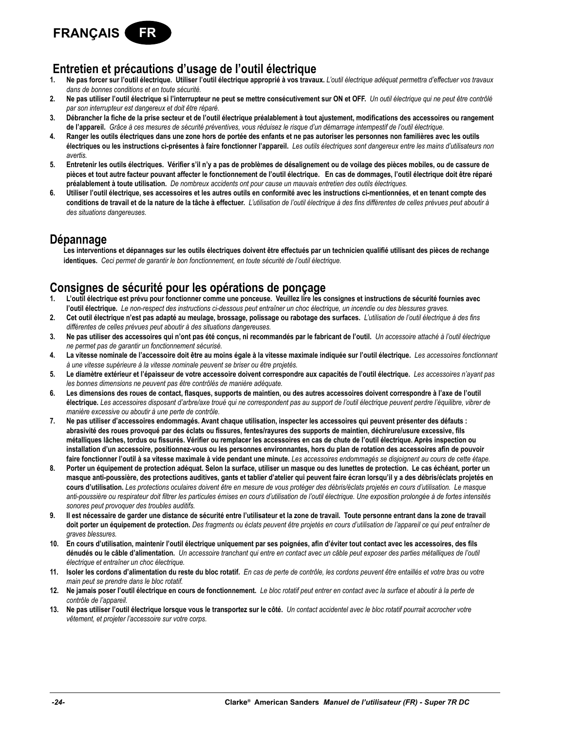

# **Entretien et précautions d'usage de l'outil électrique**

- **1. Ne pas forcer sur l'outil électrique. Utiliser l'outil électrique approprié à vos travaux.** *L'outil électrique adéquat permettra d'effectuer vos travaux dans de bonnes conditions et en toute sécurité.*
- **2. Ne pas utiliser l'outil électrique si l'interrupteur ne peut se mettre consécutivement sur ON et OFF.** *Un outil électrique qui ne peut être contrôlé par son interrupteur est dangereux et doit être réparé.*
- 3. Débrancher la fiche de la prise secteur et de l'outil électrique préalablement à tout ajustement, modifications des accessoires ou rangement **de l'appareil.** *Grâce à ces mesures de sécurité préventives, vous réduisez le risque d'un démarrage intempestif de l'outil électrique.*
- **4. Ranger les outils électriques dans une zone hors de portée des enfants et ne pas autoriser les personnes non familières avec les outils électriques ou les instructions ci-présentes à faire fonctionner l'appareil.** *Les outils électriques sont dangereux entre les mains d'utilisateurs non avertis.*
- 5. Entretenir les outils électriques. Vérifier s'il n'y a pas de problèmes de désalignement ou de voilage des pièces mobiles, ou de cassure de **pièces et tout autre facteur pouvant affecter le fonctionnement de l'outil électrique. En cas de dommages, l'outil électrique doit être réparé préalablement à toute utilisation.** *De nombreux accidents ont pour cause un mauvais entretien des outils électriques.*
- **6. Utiliser l'outil électrique, ses accessoires et les autres outils en conformité avec les instructions ci-mentionnées, et en tenant compte des**  conditions de travail et de la nature de la tâche à effectuer. *L'utilisation de l'outil électrique à des fins différentes de celles prévues peut aboutir à des situations dangereuses.*

## **Dépannage**

Les interventions et dépannages sur les outils électriques doivent être effectués par un technicien qualifié utilisant des pièces de rechange **identiques.** *Ceci permet de garantir le bon fonctionnement, en toute sécurité de l'outil électrique.* 

## **Consignes de sécurité pour les opérations de ponçage**

- **1. L'outil électrique est prévu pour fonctionner comme une ponceuse. Veuillez lire les consignes et instructions de sécurité fournies avec l'outil électrique.** *Le non-respect des instructions ci-dessous peut entraîner un choc électrique, un incendie ou des blessures graves.*
- 2. Cet outil électrique n'est pas adapté au meulage, brossage, polissage ou rabotage des surfaces. L'utilisation de l'outil électrique à des fins *différentes de celles prévues peut aboutir à des situations dangereuses.*
- **3. Ne pas utiliser des accessoires qui n'ont pas été conçus, ni recommandés par le fabricant de l'outil.** *Un accessoire attaché à l'outil électrique ne permet pas de garantir un fonctionnement sécurisé.*
- **4. La vitesse nominale de l'accessoire doit être au moins égale à la vitesse maximale indiquée sur l'outil électrique.** *Les accessoires fonctionnant à une vitesse supérieure à la vitesse nominale peuvent se briser ou être projetés.*
- **5. Le diamètre extérieur et l'épaisseur de votre accessoire doivent correspondre aux capacités de l'outil électrique.** *Les accessoires n'ayant pas les bonnes dimensions ne peuvent pas être contrôlés de manière adéquate.*
- **6. Les dimensions des roues de contact, fl asques, supports de maintien, ou des autres accessoires doivent correspondre à l'axe de l'outil électrique.** *Les accessoires disposant d'arbre/axe troué qui ne correspondent pas au support de l'outil électrique peuvent perdre l'équilibre, vibrer de manière excessive ou aboutir à une perte de contrôle.*
- **7. Ne pas utiliser d'accessoires endommagés. Avant chaque utilisation, inspecter les accessoires qui peuvent présenter des défauts :**  abrasivité des roues provoqué par des éclats ou fissures, fentes/rayures des supports de maintien, déchirure/usure excessive, fils métalliques lâches, tordus ou fissurés. Vérifier ou remplacer les accessoires en cas de chute de l'outil électrique. Après inspection ou installation d'un accessoire, positionnez-vous ou les personnes environnantes, hors du plan de rotation des accessoires afin de pouvoir **faire fonctionner l'outil à sa vitesse maximale à vide pendant une minute.** *Les accessoires endommagés se disjoignent au cours de cette étape.*
- **8. Porter un équipement de protection adéquat. Selon la surface, utiliser un masque ou des lunettes de protection. Le cas échéant, porter un masque anti-poussière, des protections auditives, gants et tablier d'atelier qui peuvent faire écran lorsqu'il y a des débris/éclats projetés en cours d'utilisation.** *Les protections oculaires doivent être en mesure de vous protéger des débris/éclats projetés en cours d'utilisation. Le masque* anti-poussière ou respirateur doit filtrer les particules émises en cours d'utilisation de l'outil électrique. Une exposition prolongée à de fortes intensités *sonores peut provoquer des troubles auditifs.*
- **9. Il est nécessaire de garder une distance de sécurité entre l'utilisateur et la zone de travail. Toute personne entrant dans la zone de travail doit porter un équipement de protection.** *Des fragments ou éclats peuvent être projetés en cours d'utilisation de l'appareil ce qui peut entraîner de graves blessures.*
- 10. En cours d'utilisation, maintenir l'outil électrique uniquement par ses poignées, afin d'éviter tout contact avec les accessoires, des fils **dénudés ou le câble d'alimentation.** *Un accessoire tranchant qui entre en contact avec un câble peut exposer des parties métalliques de l'outil électrique et entraîner un choc électrique.*
- **11. Isoler les cordons d'alimentation du reste du bloc rotatif.** *En cas de perte de contrôle, les cordons peuvent être entaillés et votre bras ou votre main peut se prendre dans le bloc rotatif.*
- **12. Ne jamais poser l'outil électrique en cours de fonctionnement.** *Le bloc rotatif peut entrer en contact avec la surface et aboutir à la perte de contrôle de l'appareil.*
- **13. Ne pas utiliser l'outil électrique lorsque vous le transportez sur le côté.** *Un contact accidentel avec le bloc rotatif pourrait accrocher votre vêtement, et projeter l'accessoire sur votre corps.*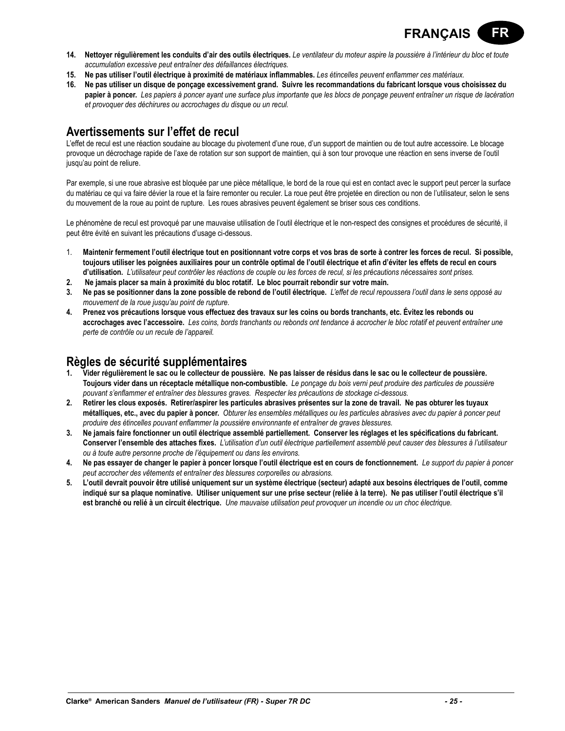

- **14. Nettoyer régulièrement les conduits d'air des outils électriques.** *Le ventilateur du moteur aspire la poussière à l'intérieur du bloc et toute accumulation excessive peut entraîner des défaillances électriques.*
- 15. Ne pas utiliser l'outil électrique à proximité de matériaux inflammables. Les étincelles peuvent enflammer ces matériaux.
- **16. Ne pas utiliser un disque de ponçage excessivement grand. Suivre les recommandations du fabricant lorsque vous choisissez du papier à poncer.** *Les papiers à poncer ayant une surface plus importante que les blocs de ponçage peuvent entraîner un risque de lacération et provoquer des déchirures ou accrochages du disque ou un recul.*

## **Avertissements sur l'effet de recul**

L'effet de recul est une réaction soudaine au blocage du pivotement d'une roue, d'un support de maintien ou de tout autre accessoire. Le blocage provoque un décrochage rapide de l'axe de rotation sur son support de maintien, qui à son tour provoque une réaction en sens inverse de l'outil jusqu'au point de reliure.

Par exemple, si une roue abrasive est bloquée par une pièce métallique, le bord de la roue qui est en contact avec le support peut percer la surface du matériau ce qui va faire dévier la roue et la faire remonter ou reculer. La roue peut être projetée en direction ou non de l'utilisateur, selon le sens du mouvement de la roue au point de rupture. Les roues abrasives peuvent également se briser sous ces conditions.

Le phénomène de recul est provoqué par une mauvaise utilisation de l'outil électrique et le non-respect des consignes et procédures de sécurité, il peut être évité en suivant les précautions d'usage ci-dessous.

- 1. **Maintenir fermement l'outil électrique tout en positionnant votre corps et vos bras de sorte à contrer les forces de recul. Si possible,**  toujours utiliser les poignées auxiliaires pour un contrôle optimal de l'outil électrique et afin d'éviter les effets de recul en cours **d'utilisation.** *L'utilisateur peut contrôler les réactions de couple ou les forces de recul, si les précautions nécessaires sont prises.*
- **2. Ne jamais placer sa main à proximité du bloc rotatif. Le bloc pourrait rebondir sur votre main.**
- **3. Ne pas se positionner dans la zone possible de rebond de l'outil électrique.** *L'effet de recul repoussera l'outil dans le sens opposé au mouvement de la roue jusqu'au point de rupture.*
- **4. Prenez vos précautions lorsque vous effectuez des travaux sur les coins ou bords tranchants, etc. Évitez les rebonds ou accrochages avec l'accessoire.** *Les coins, bords tranchants ou rebonds ont tendance à accrocher le bloc rotatif et peuvent entraîner une perte de contrôle ou un recule de l'appareil.*

## **Règles de sécurité supplémentaires**

- **1. Vider régulièrement le sac ou le collecteur de poussière. Ne pas laisser de résidus dans le sac ou le collecteur de poussière. Toujours vider dans un réceptacle métallique non-combustible.** *Le ponçage du bois verni peut produire des particules de poussière pouvant s'enfl ammer et entraîner des blessures graves. Respecter les précautions de stockage ci-dessous.*
- **2. Retirer les clous exposés. Retirer/aspirer les particules abrasives présentes sur la zone de travail. Ne pas obturer les tuyaux métalliques, etc., avec du papier à poncer.** *Obturer les ensembles métalliques ou les particules abrasives avec du papier à poncer peut produire des étincelles pouvant enfl ammer la poussière environnante et entraîner de graves blessures.*
- **3. Ne jamais faire fonctionner un outil électrique assemblé partiellement. Conserver les réglages et les spécifi cations du fabricant.**  Conserver l'ensemble des attaches fixes. L'utilisation d'un outil électrique partiellement assemblé peut causer des blessures à l'utilisateur *ou à toute autre personne proche de l'équipement ou dans les environs.*
- **4. Ne pas essayer de changer le papier à poncer lorsque l'outil électrique est en cours de fonctionnement.** *Le support du papier à poncer peut accrocher des vêtements et entraîner des blessures corporelles ou abrasions.*
- **5. L'outil devrait pouvoir être utilisé uniquement sur un système électrique (secteur) adapté aux besoins électriques de l'outil, comme indiqué sur sa plaque nominative. Utiliser uniquement sur une prise secteur (reliée à la terre). Ne pas utiliser l'outil électrique s'il est branché ou relié à un circuit électrique.** *Une mauvaise utilisation peut provoquer un incendie ou un choc électrique.*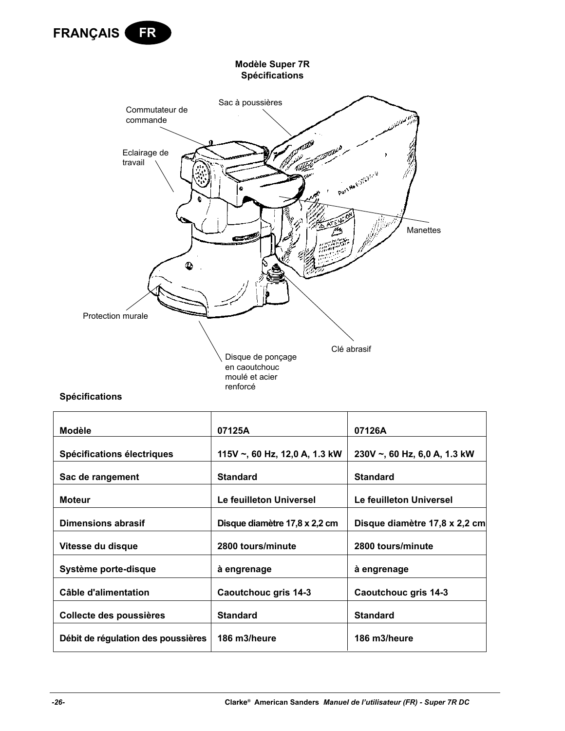

**Spécifi cations**

| <b>Modèle</b>                      | 07125A                        | 07126A                             |
|------------------------------------|-------------------------------|------------------------------------|
| Spécifications électriques         | 115V ~, 60 Hz, 12,0 A, 1.3 kW | $230V \sim$ , 60 Hz, 6,0 A, 1.3 kW |
| Sac de rangement                   | <b>Standard</b>               | <b>Standard</b>                    |
| <b>Moteur</b>                      | Le feuilleton Universel       | Le feuilleton Universel            |
| Dimensions abrasif                 | Disque diamètre 17,8 x 2,2 cm | Disque diamètre 17,8 x 2,2 cm      |
| Vitesse du disque                  | 2800 tours/minute             | 2800 tours/minute                  |
| Système porte-disque               | à engrenage                   | à engrenage                        |
| Câble d'alimentation               | Caoutchouc gris 14-3          | Caoutchouc gris 14-3               |
| Collecte des poussières            | <b>Standard</b>               | <b>Standard</b>                    |
| Débit de régulation des poussières | 186 m3/heure                  | 186 m3/heure                       |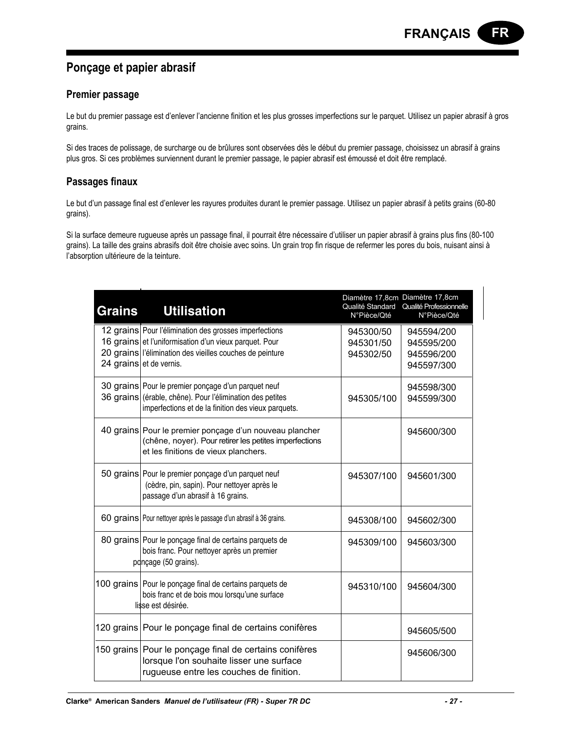## **Ponçage et papier abrasif**

#### **Premier passage**

Le but du premier passage est d'enlever l'ancienne finition et les plus grosses imperfections sur le parquet. Utilisez un papier abrasif à gros grains.

Si des traces de polissage, de surcharge ou de brûlures sont observées dès le début du premier passage, choisissez un abrasif à grains plus gros. Si ces problèmes surviennent durant le premier passage, le papier abrasif est émoussé et doit être remplacé.

#### **Passages finaux**

Le but d'un passage final est d'enlever les rayures produites durant le premier passage. Utilisez un papier abrasif à petits grains (60-80 grains).

Si la surface demeure rugueuse après un passage final, il pourrait être nécessaire d'utiliser un papier abrasif à grains plus fins (80-100 grains). La taille des grains abrasifs doit être choisie avec soins. Un grain trop fin risque de refermer les pores du bois, nuisant ainsi à l'absorption ultérieure de la teinture.

| Grains | <b>Utilisation</b>                                                                                                                                                                                      | Qualité Standard<br>N°Pièce/Qté     | Diamètre 17,8cm Diamètre 17,8cm<br>Qualité Professionnelle<br>N°Pièce/Qté |
|--------|---------------------------------------------------------------------------------------------------------------------------------------------------------------------------------------------------------|-------------------------------------|---------------------------------------------------------------------------|
|        | 12 grains Pour l'élimination des grosses imperfections<br>16 grains et l'uniformisation d'un vieux parquet. Pour<br>20 grains l'élimination des vieilles couches de peinture<br>24 grains et de vernis. | 945300/50<br>945301/50<br>945302/50 | 945594/200<br>945595/200<br>945596/200<br>945597/300                      |
|        | 30 grains Pour le premier ponçage d'un parquet neuf<br>36 grains (érable, chêne). Pour l'élimination des petites<br>imperfections et de la finition des vieux parquets.                                 | 945305/100                          | 945598/300<br>945599/300                                                  |
|        | 40 grains Pour le premier ponçage d'un nouveau plancher<br>(chêne, noyer). Pour retirer les petites imperfections<br>et les finitions de vieux planchers.                                               |                                     | 945600/300                                                                |
|        | 50 grains Pour le premier ponçage d'un parquet neuf<br>(cèdre, pin, sapin). Pour nettoyer après le<br>passage d'un abrasif à 16 grains.                                                                 | 945307/100                          | 945601/300                                                                |
|        | 60 grains   Pour nettoyer après le passage d'un abrasif à 36 grains.                                                                                                                                    | 945308/100                          | 945602/300                                                                |
|        | 80 grains Pour le ponçage final de certains parquets de<br>bois franc. Pour nettoyer après un premier<br>ponçage (50 grains).                                                                           | 945309/100                          | 945603/300                                                                |
|        | 100 grains   Pour le ponçage final de certains parquets de<br>bois franc et de bois mou lorsqu'une surface<br>lisse est désirée.                                                                        | 945310/100                          | 945604/300                                                                |
|        | 120 grains Pour le ponçage final de certains conifères                                                                                                                                                  |                                     | 945605/500                                                                |
|        | 150 grains Pour le ponçage final de certains conifères<br>lorsque l'on souhaite lisser une surface<br>rugueuse entre les couches de finition.                                                           |                                     | 945606/300                                                                |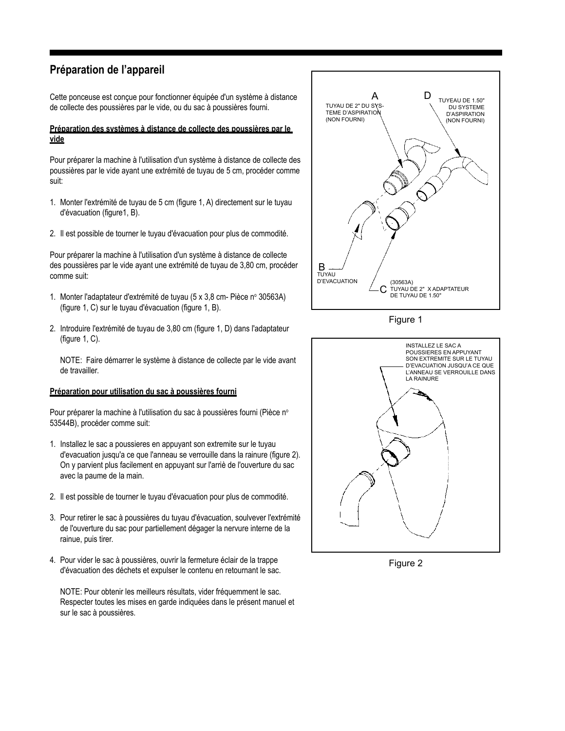## **Préparation de l'appareil**

Cette ponceuse est conçue pour fonctionner équipée d'un système à distance de collecte des poussières par le vide, ou du sac à poussières fourni.

#### **Préparation des systèmes à distance de collecte des poussières par le vide**

Pour préparer la machine à l'utilisation d'un système à distance de collecte des poussières par le vide ayant une extrémité de tuyau de 5 cm, procéder comme suit:

- 1. Monter l'extrémité de tuyau de 5 cm (fiqure 1, A) directement sur le tuyau d'évacuation (figure1, B).
- 2. Il est possible de tourner le tuyau d'évacuation pour plus de commodité.

Pour préparer la machine à l'utilisation d'un système à distance de collecte des poussières par le vide ayant une extrémité de tuyau de 3,80 cm, procéder comme suit:

- 1. Monter l'adaptateur d'extrémité de tuyau (5 x 3,8 cm- Pièce nº 30563A) (figure 1, C) sur le tuyau d'évacuation (figure 1, B).
- 2. Introduire l'extrémité de tuyau de 3,80 cm (figure 1, D) dans l'adaptateur (figure  $1, C$ ).

 NOTE: Faire démarrer le système à distance de collecte par le vide avant de travailler.

#### **Préparation pour utilisation du sac à poussières fourni**

Pour préparer la machine à l'utilisation du sac à poussières fourni (Pièce n° 53544B), procéder comme suit:

- 1. Installez le sac a poussieres en appuyant son extremite sur le tuyau d'evacuation jusqu'a ce que l'anneau se verrouille dans la rainure (fiqure 2). On y parvient plus facilement en appuyant sur l'arriè de l'ouverture du sac avec la paume de la main.
- 2. Il est possible de tourner le tuyau d'évacuation pour plus de commodité.
- 3. Pour retirer le sac à poussières du tuyau d'évacuation, soulvever l'extrémité de l'ouverture du sac pour partiellement dégager la nervure interne de la rainue, puis tirer.
- 4. Pour vider le sac à poussières, ouvrir la fermeture éclair de la trappe d'évacuation des déchets et expulser le contenu en retournant le sac.

 NOTE: Pour obtenir les meilleurs résultats, vider fréquemment le sac. Respecter toutes les mises en garde indiquées dans le présent manuel et sur le sac à poussières.







Figure 2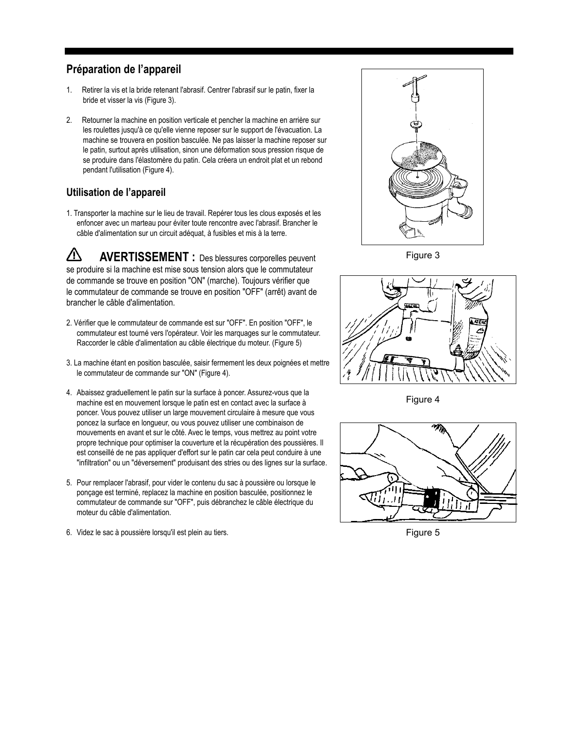## **Préparation de l'appareil**

- 1. Retirer la vis et la bride retenant l'abrasif. Centrer l'abrasif sur le patin, fixer la bride et visser la vis (Figure 3).
- 2. Retourner la machine en position verticale et pencher la machine en arrière sur les roulettes jusqu'à ce qu'elle vienne reposer sur le support de l'évacuation. La machine se trouvera en position basculée. Ne pas laisser la machine reposer sur le patin, surtout après utilisation, sinon une déformation sous pression risque de se produire dans l'élastomère du patin. Cela créera un endroit plat et un rebond pendant l'utilisation (Figure 4).

#### **Utilisation de l'appareil**

1. Transporter la machine sur le lieu de travail. Repérer tous les clous exposés et les enfoncer avec un marteau pour éviter toute rencontre avec l'abrasif. Brancher le câble d'alimentation sur un circuit adéquat, à fusibles et mis à la terre.

ΛN **AVERTISSEMENT :** Des blessures corporelles peuvent se produire si la machine est mise sous tension alors que le commutateur de commande se trouve en position "ON" (marche). Toujours vérifier que le commutateur de commande se trouve en position "OFF" (arrêt) avant de brancher le câble d'alimentation.

- 2. Vérifier que le commutateur de commande est sur "OFF". En position "OFF", le commutateur est tourné vers l'opérateur. Voir les marquages sur le commutateur. Raccorder le câble d'alimentation au câble électrique du moteur. (Figure 5)
- 3. La machine étant en position basculée, saisir fermement les deux poignées et mettre le commutateur de commande sur "ON" (Figure 4).
- 4. Abaissez graduellement le patin sur la surface à poncer. Assurez-vous que la machine est en mouvement lorsque le patin est en contact avec la surface à poncer. Vous pouvez utiliser un large mouvement circulaire à mesure que vous poncez la surface en longueur, ou vous pouvez utiliser une combinaison de mouvements en avant et sur le côté. Avec le temps, vous mettrez au point votre propre technique pour optimiser la couverture et la récupération des poussières. Il est conseillé de ne pas appliquer d'effort sur le patin car cela peut conduire à une "infiltration" ou un "déversement" produisant des stries ou des lignes sur la surface.
- 5. Pour remplacer l'abrasif, pour vider le contenu du sac à poussière ou lorsque le ponçage est terminé, replacez la machine en position basculée, positionnez le commutateur de commande sur "OFF", puis débranchez le câble électrique du moteur du câble d'alimentation.
- 6. Videz le sac à poussière lorsqu'il est plein au tiers.



Figure 3



Figure 4



Figure 5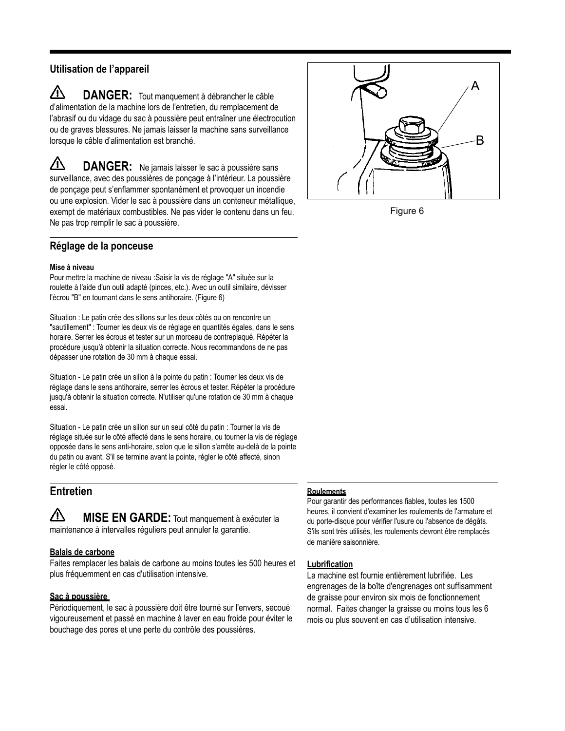## **Utilisation de l'appareil**

八 **DANGER:** Tout manquement à débrancher le câble d'alimentation de la machine lors de l'entretien, du remplacement de l'abrasif ou du vidage du sac à poussière peut entraîner une électrocution ou de graves blessures. Ne jamais laisser la machine sans surveillance lorsque le câble d'alimentation est branché.

八 **DANGER:** Ne jamais laisser le sac à poussière sans surveillance, avec des poussières de ponçage à l'intérieur. La poussière de ponçage peut s'enflammer spontanément et provoquer un incendie ou une explosion. Vider le sac à poussière dans un conteneur métallique, exempt de matériaux combustibles. Ne pas vider le contenu dans un feu. Ne pas trop remplir le sac à poussière.

#### **Réglage de la ponceuse**

#### **Mise à niveau**

Pour mettre la machine de niveau :Saisir la vis de réglage "A" située sur la roulette à l'aide d'un outil adapté (pinces, etc.). Avec un outil similaire, dévisser l'écrou "B" en tournant dans le sens antihoraire. (Figure 6)

Situation : Le patin crée des sillons sur les deux côtés ou on rencontre un "sautillement" : Tourner les deux vis de réglage en quantités égales, dans le sens horaire. Serrer les écrous et tester sur un morceau de contreplaqué. Répéter la procédure jusqu'à obtenir la situation correcte. Nous recommandons de ne pas dépasser une rotation de 30 mm à chaque essai.

Situation - Le patin crée un sillon à la pointe du patin : Tourner les deux vis de réglage dans le sens antihoraire, serrer les écrous et tester. Répéter la procédure jusqu'à obtenir la situation correcte. N'utiliser qu'une rotation de 30 mm à chaque essai.

Situation - Le patin crée un sillon sur un seul côté du patin : Tourner la vis de réglage située sur le côté affecté dans le sens horaire, ou tourner la vis de réglage opposée dans le sens anti-horaire, selon que le sillon s'arrête au-delà de la pointe du patin ou avant. S'il se termine avant la pointe, régler le côté affecté, sinon régler le côté opposé.

## **Entretien**

ΛN **MISE EN GARDE:** Tout manquement à exécuter la maintenance à intervalles réguliers peut annuler la garantie.

#### **Balais de carbone**

Faites remplacer les balais de carbone au moins toutes les 500 heures et plus fréquemment en cas d'utilisation intensive.

#### **Sac à poussière**

Périodiquement, le sac à poussière doit être tourné sur l'envers, secoué vigoureusement et passé en machine à laver en eau froide pour éviter le bouchage des pores et une perte du contrôle des poussières.

#### **Roulements**

Pour garantir des performances fiables, toutes les 1500 heures, il convient d'examiner les roulements de l'armature et du porte-disque pour vérifier l'usure ou l'absence de dégâts. S'ils sont très utilisés, les roulements devront être remplacés de manière saisonnière.

#### **Lubrification**

La machine est fournie entièrement lubrifiée. Les engrenages de la boîte d'engrenages ont suffisamment de graisse pour environ six mois de fonctionnement normal. Faites changer la graisse ou moins tous les 6 mois ou plus souvent en cas d'utilisation intensive.



Figure 6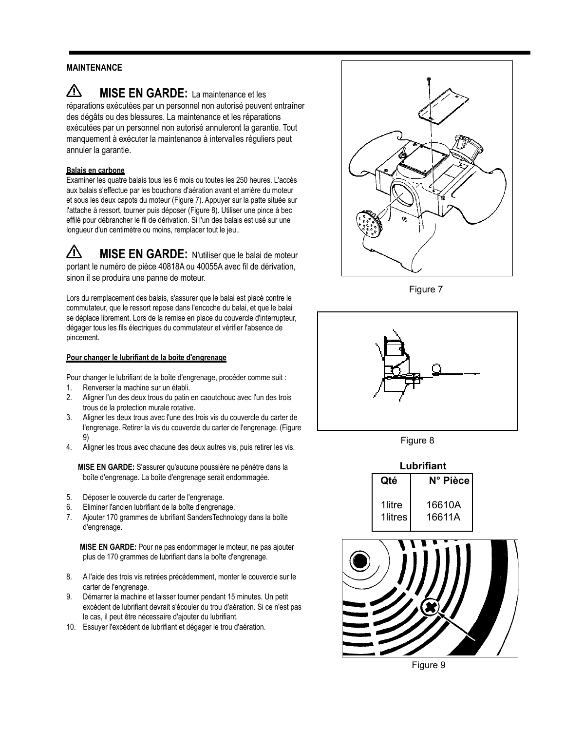#### **MAINTENANCE**

Л **MISE EN GARDE:** La maintenance et les réparations exécutées par un personnel non autorisé peuvent entraîner des dégâts ou des blessures. La maintenance et les réparations exécutées par un personnel non autorisé annuleront la garantie. Tout manquement à exécuter la maintenance à intervalles réguliers peut annuler la garantie.

#### **Balais en carbone**

Examiner les quatre balais tous les 6 mois ou toutes les 250 heures. L'accès aux balais s'effectue par les bouchons d'aération avant et arrière du moteur et sous les deux capots du moteur (Figure 7). Appuyer sur la patte située sur l'attache à ressort, tourner puis déposer (Figure 8). Utiliser une pince à bec effilé pour débrancher le fil de dérivation. Si l'un des balais est usé sur une longueur d'un centimètre ou moins, remplacer tout le jeu..

ハ **MISE EN GARDE:** N'utiliser que le balai de moteur portant le numéro de pièce 40818A ou 40055A avec fil de dérivation, sinon il se produira une panne de moteur.

Lors du remplacement des balais, s'assurer que le balai est placé contre le commutateur, que le ressort repose dans l'encoche du balai, et que le balai se déplace librement. Lors de la remise en place du couvercle d'interrupteur, dégager tous les fils électriques du commutateur et vérifier l'absence de pincement.

#### Pour changer le lubrifiant de la boîte d'engrenage

Pour changer le lubrifiant de la boîte d'engrenage, procéder comme suit :

- 1. Renverser la machine sur un établi.
- 2. Aligner l'un des deux trous du patin en caoutchouc avec l'un des trois trous de la protection murale rotative.
- 3. Aligner les deux trous avec l'une des trois vis du couvercle du carter de l'engrenage. Retirer la vis du couvercle du carter de l'engrenage. (Figure 9)
- 4. Aligner les trous avec chacune des deux autres vis, puis retirer les vis.

 **MISE EN GARDE:** S'assurer qu'aucune poussière ne pénètre dans la boîte d'engrenage. La boîte d'engrenage serait endommagée.

- 5. Déposer le couvercle du carter de l'engrenage.
- 6. Eliminer l'ancien lubrifiant de la boîte d'engrenage.
- 7. Ajouter 170 grammes de lubrifiant Sanders Technology dans la boîte d'engrenage.

 **MISE EN GARDE:** Pour ne pas endommager le moteur, ne pas ajouter plus de 170 grammes de lubrifiant dans la boîte d'engrenage.

- 8. A l'aide des trois vis retirées précédemment, monter le couvercle sur le carter de l'engrenage.
- 9. Démarrer la machine et laisser tourner pendant 15 minutes. Un petit excédent de lubrifiant devrait s'écouler du trou d'aération. Si ce n'est pas le cas, il peut être nécessaire d'ajouter du lubrifiant.
- 10. Essuyer l'excédent de lubrifiant et dégager le trou d'aération.



Figure 7



Figure 8

| Lubrifiant        |                  |  |  |
|-------------------|------------------|--|--|
| Qté               | N° Pièce         |  |  |
| 1litre<br>1litres | 16610A<br>16611A |  |  |



Figure 9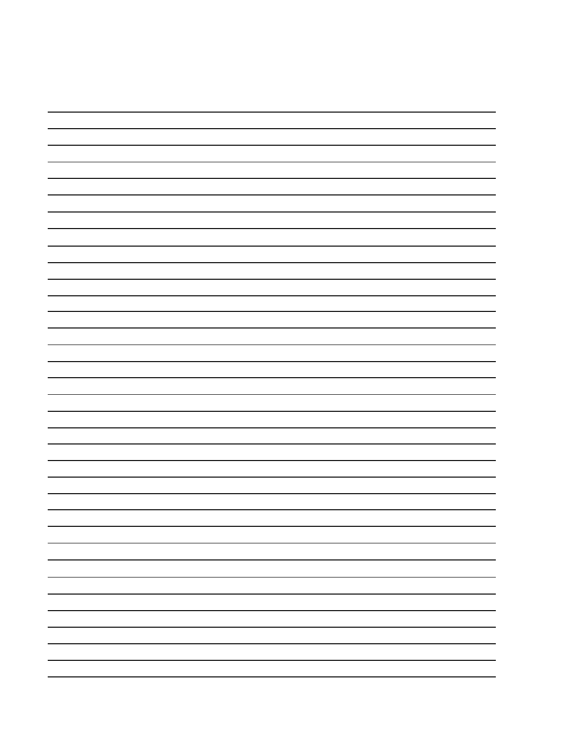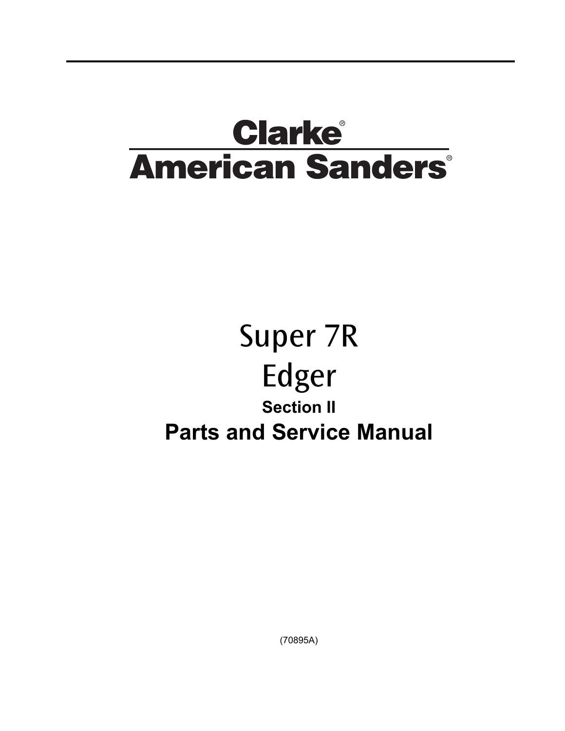# **Clarke American Sanders**

# Super 7R Edger **Section II Parts and Service Manual**

(70895A)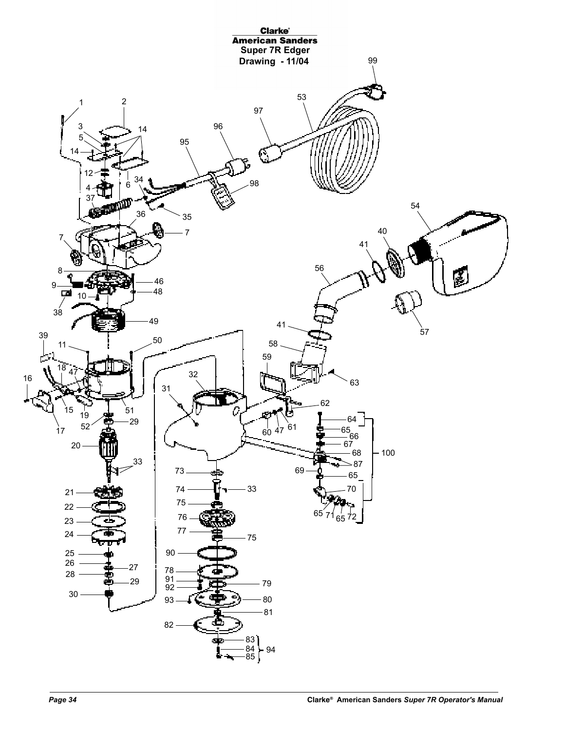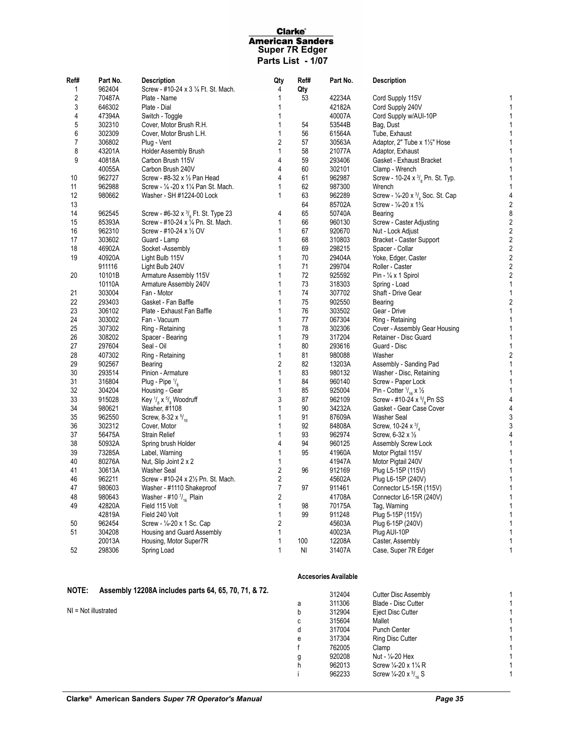## **Clarke**® **American Sanders**<br>Super 7R Edger **Parts List - 1/07**

| Ref#             | Part No. | <b>Description</b>                              | Qty                     | Ref# | Part No. | <b>Description</b>                          |                |
|------------------|----------|-------------------------------------------------|-------------------------|------|----------|---------------------------------------------|----------------|
| 1                | 962404   | Screw - #10-24 x 3 1/4 Ft. St. Mach.            | 4                       | Qty  |          |                                             |                |
| $\overline{2}$   | 70487A   | Plate - Name                                    | 1                       | 53   | 42234A   | Cord Supply 115V                            |                |
| 3                | 646302   | Plate - Dial                                    | 1                       |      | 42182A   | Cord Supply 240V                            |                |
| 4                | 47394A   | Switch - Toggle                                 | 1                       |      | 40007A   | Cord Supply w/AUI-10P                       |                |
| 5                | 302310   | Cover, Motor Brush R.H.                         | 1                       | 54   | 53544B   | Bag, Dust                                   |                |
| 6                | 302309   | Cover, Motor Brush L.H.                         | 1                       | 56   | 61564A   | Tube, Exhaust                               |                |
| $\boldsymbol{7}$ | 306802   | Plug - Vent                                     | $\overline{2}$          | 57   | 30563A   | Adaptor, 2" Tube x 11/2" Hose               |                |
| 8                | 43201A   | Holder Assembly Brush                           | 1                       | 58   | 21077A   | Adaptor, Exhaust                            |                |
| 9                | 40818A   | Carbon Brush 115V                               | 4                       | 59   | 293406   | Gasket - Exhaust Bracket                    |                |
|                  | 40055A   | Carbon Brush 240V                               | 4                       | 60   | 302101   | Clamp - Wrench                              |                |
| 10               | 962727   | Screw - #8-32 x 1/2 Pan Head                    | 4                       | 61   | 962987   | Screw - 10-24 x $\frac{3}{8}$ Pn. St. Typ.  |                |
| 11               | 962988   | Screw - 1/4 - 20 x 11/4 Pan St. Mach.           | 1                       | 62   | 987300   | Wrench                                      |                |
| 12               | 980662   | Washer - SH #1224-00 Lock                       | 1                       | 63   | 962289   | Screw - 1/4-20 x 3/, Soc. St. Cap           | 4              |
| 13               |          |                                                 |                         | 64   | 85702A   | Screw - 1/4-20 x 13/4                       |                |
| 14               | 962545   | Screw - #6-32 x 3/ <sub>8</sub> Ft. St. Type 23 | 4                       | 65   | 50740A   | Bearing                                     | 8              |
| 15               | 85393A   | Screw - #10-24 x 1/4 Pn. St. Mach.              | 1                       | 66   | 960130   | Screw - Caster Adjusting                    | $\overline{c}$ |
| 16               | 962310   | Screw - #10-24 x 1/2 OV                         | 1                       | 67   |          |                                             | $\overline{c}$ |
|                  |          |                                                 | 1                       | 68   | 920670   | Nut - Lock Adjust                           | 2              |
| 17               | 303602   | Guard - Lamp                                    | 1                       |      | 310803   | Bracket - Caster Support                    | $\overline{2}$ |
| 18               | 46902A   | Socket -Assembly                                |                         | 69   | 298215   | Spacer - Collar                             |                |
| 19               | 40920A   | Light Bulb 115V                                 | 1                       | 70   | 29404A   | Yoke, Edger, Caster                         | $\overline{c}$ |
|                  | 911116   | Light Bulb 240V                                 | 1                       | 71   | 299704   | Roller - Caster                             | $\overline{2}$ |
| 20               | 10101B   | Armature Assembly 115V                          | 1                       | 72   | 925592   | $Pin - \frac{1}{4} \times 1$ Spirol         | $\overline{a}$ |
|                  | 10110A   | Armature Assembly 240V                          | 1                       | 73   | 318303   | Spring - Load                               |                |
| 21               | 303004   | Fan - Motor                                     | 1                       | 74   | 307702   | Shaft - Drive Gear                          |                |
| 22               | 293403   | Gasket - Fan Baffle                             | 1                       | 75   | 902550   | Bearing                                     | 2              |
| 23               | 306102   | Plate - Exhaust Fan Baffle                      | 1                       | 76   | 303502   | Gear - Drive                                |                |
| 24               | 303002   | Fan - Vacuum                                    | 1                       | 77   | 067304   | Ring - Retaining                            |                |
| 25               | 307302   | Ring - Retaining                                | 1                       | 78   | 302306   | Cover - Assembly Gear Housing               |                |
| 26               | 308202   | Spacer - Bearing                                | 1                       | 79   | 317204   | Retainer - Disc Guard                       |                |
| 27               | 297604   | Seal - Oil                                      | 1                       | 80   | 293616   | Guard - Disc                                |                |
| 28               | 407302   | Ring - Retaining                                | 1                       | 81   | 980088   | Washer                                      | 2              |
| 29               | 902567   | Bearing                                         | $\overline{\mathbf{c}}$ | 82   | 13203A   | Assembly - Sanding Pad                      |                |
| 30               | 293514   | Pinion - Armature                               | 1                       | 83   | 980132   | Washer - Disc, Retaining                    |                |
| 31               | 316804   | Plug - Pipe $\frac{1}{2}$                       | 1                       | 84   | 960140   | Screw - Paper Lock                          |                |
| 32               | 304204   | Housing - Gear                                  | $\mathbf{1}$            | 85   | 925004   | Pin - Cotter $\frac{1}{16}$ x $\frac{1}{2}$ |                |
| 33               | 915028   | Key $\frac{1}{8}$ x $\frac{5}{8}$ Woodruff      | 3                       | 87   | 962109   | Screw - #10-24 x 5/ Pn SS                   |                |
| 34               | 980621   | Washer, #1108                                   | 1                       | 90   | 34232A   | Gasket - Gear Case Cover                    | 4              |
| 35               | 962550   | Screw, 8-32 x $^{5}/_{16}$                      | 1                       | 91   | 87609A   | Washer Seal                                 | 3              |
| 36               | 302312   | Cover, Motor                                    | 1                       | 92   | 84808A   | Screw, 10-24 x $\frac{3}{7}$ ,              | 3              |
| 37               | 56475A   | <b>Strain Relief</b>                            | 1                       | 93   | 962974   | Screw, 6-32 x 1/2                           |                |
| 38               | 50932A   | Spring brush Holder                             | 4                       | 94   | 960125   | Assembly Screw Lock                         |                |
| 39               | 73285A   | Label, Warning                                  | 1                       | 95   | 41960A   | Motor Pigtail 115V                          |                |
| 40               | 80276A   | Nut, Slip Joint 2 x 2                           | 1                       |      | 41947A   | Motor Pigtail 240V                          |                |
| 41               | 30613A   | <b>Washer Seal</b>                              | $\overline{2}$          | 96   | 912169   | Plug L5-15P (115V)                          |                |
| 46               | 962211   | Screw - #10-24 x 21/2 Pn. St. Mach.             | $\overline{c}$          |      | 45602A   | Plug L6-15P (240V)                          |                |
| 47               | 980603   | Washer - #1110 Shakeproof                       | 7                       | 97   | 911461   | Connector L5-15R (115V)                     |                |
| 48               | 980643   | Washer - #10 $\frac{7}{16}$ Plain               | $\overline{2}$          |      | 41708A   | Connector L6-15R (240V)                     |                |
| 49               | 42820A   | Field 115 Volt                                  | $\mathbf{1}$            | 98   | 70175A   | Tag, Warning                                |                |
|                  | 42819A   | Field 240 Volt                                  | 1                       | 99   | 911248   | Plug 5-15P (115V)                           |                |
| 50               | 962454   | Screw - 1/4-20 x 1 Sc. Cap                      | $\overline{\mathbf{c}}$ |      | 45603A   | Plug 6-15P (240V)                           |                |
| 51               | 304208   | Housing and Guard Assembly                      | 1                       |      | 40023A   | Plug AUI-10P                                |                |
|                  | 20013A   | Housing, Motor Super7R                          | 1                       | 100  | 12208A   | Caster, Assembly                            |                |
| 52               | 298306   | Spring Load                                     | 1                       | NI   | 31407A   | Case, Super 7R Edger                        | 1              |
|                  |          |                                                 |                         |      |          |                                             |                |

#### **NOTE: Assembly 12208A includes parts 64, 65, 70, 71, & 72.**

NI = Not illustrated

#### **Accesories Available**

|   | 312404 | <b>Cutter Disc Assembly</b>                |  |
|---|--------|--------------------------------------------|--|
| а | 311306 | <b>Blade - Disc Cutter</b>                 |  |
| b | 312904 | <b>Eject Disc Cutter</b>                   |  |
| C | 315604 | Mallet                                     |  |
| d | 317004 | <b>Punch Center</b>                        |  |
| e | 317304 | <b>Ring Disc Cutter</b>                    |  |
|   | 762005 | Clamp                                      |  |
| g | 920208 | Nut - 1/4-20 Hex                           |  |
| h | 962013 | Screw 1/4-20 x 11/4 R                      |  |
|   | 962233 | Screw $\frac{1}{4}$ -20 x $\frac{5}{16}$ S |  |
|   |        |                                            |  |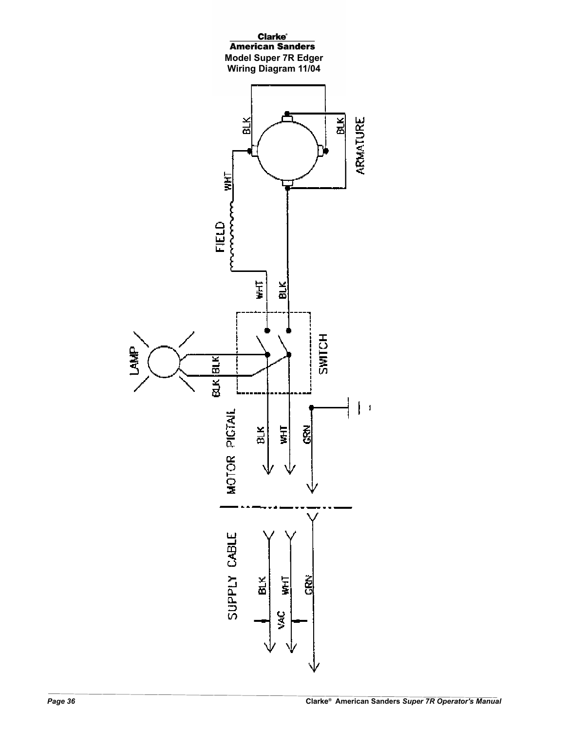